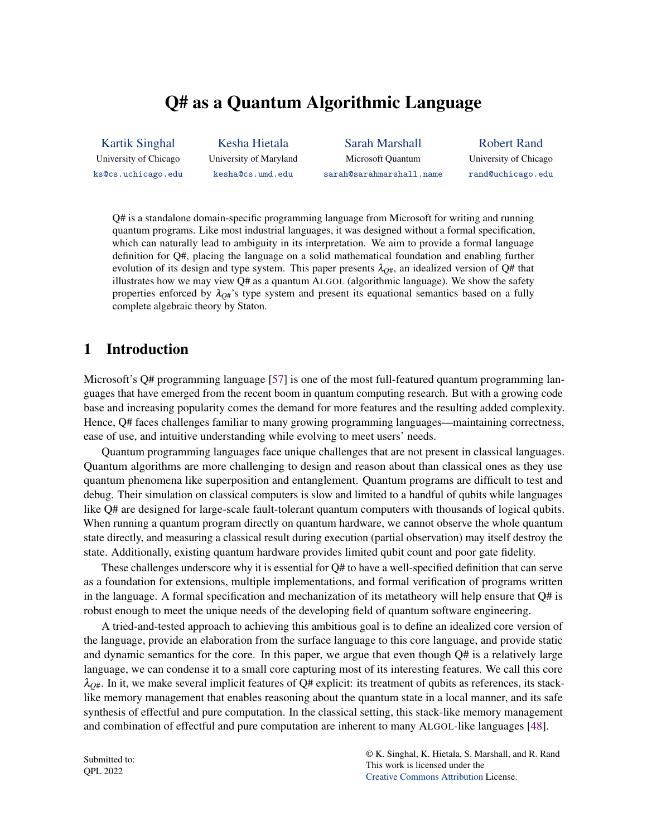# Q# as a Quantum Algorithmic Language

<span id="page-0-0"></span>[Kartik Singhal](https://orcid.org/0000-0003-1132-269X) University of Chicago [ks@cs.uchicago.edu](mailto:ks@cs.uchicago.edu)

[Kesha Hietala](https://orcid.org/0000-0002-2724-0974) University of Maryland [kesha@cs.umd.edu](mailto:kesha@cs.umd.edu)

[Sarah Marshall](https://orcid.org/0000-0002-7744-4932) Microsoft Quantum [sarah@sarahmarshall.name](mailto:sarah@sarahmarshall.name)

[Robert Rand](https://orcid.org/0000-0001-6842-5505) University of Chicago [rand@uchicago.edu](mailto:rand@uchicago.edu)

Q# is a standalone domain-specific programming language from Microsoft for writing and running quantum programs. Like most industrial languages, it was designed without a formal specification, which can naturally lead to ambiguity in its interpretation. We aim to provide a formal language definition for Q#, placing the language on a solid mathematical foundation and enabling further evolution of its design and type system. This paper presents  $\lambda_{O#}$ , an idealized version of Q# that illustrates how we may view Q# as a quantum ALGOL (algorithmic language). We show the safety properties enforced by  $\lambda_{O#}$ 's type system and present its equational semantics based on a fully complete algebraic theory by Staton.

## 1 Introduction

Microsoft's Q# programming language [\[57\]](#page-14-0) is one of the most full-featured quantum programming languages that have emerged from the recent boom in quantum computing research. But with a growing code base and increasing popularity comes the demand for more features and the resulting added complexity. Hence, Q# faces challenges familiar to many growing programming languages—maintaining correctness, ease of use, and intuitive understanding while evolving to meet users' needs.

Quantum programming languages face unique challenges that are not present in classical languages. Quantum algorithms are more challenging to design and reason about than classical ones as they use quantum phenomena like superposition and entanglement. Quantum programs are difficult to test and debug. Their simulation on classical computers is slow and limited to a handful of qubits while languages like Q# are designed for large-scale fault-tolerant quantum computers with thousands of logical qubits. When running a quantum program directly on quantum hardware, we cannot observe the whole quantum state directly, and measuring a classical result during execution (partial observation) may itself destroy the state. Additionally, existing quantum hardware provides limited qubit count and poor gate fidelity.

These challenges underscore why it is essential for Q# to have a well-specified definition that can serve as a foundation for extensions, multiple implementations, and formal verification of programs written in the language. A formal specification and mechanization of its metatheory will help ensure that  $Q#$  is robust enough to meet the unique needs of the developing field of quantum software engineering.

A tried-and-tested approach to achieving this ambitious goal is to define an idealized core version of the language, provide an elaboration from the surface language to this core language, and provide static and dynamic semantics for the core. In this paper, we argue that even though  $Q#$  is a relatively large language, we can condense it to a small core capturing most of its interesting features. We call this core  $\lambda_{Q\#}$ . In it, we make several implicit features of Q# explicit: its treatment of qubits as references, its stacklike memory management that enables reasoning about the quantum state in a local manner, and its safe synthesis of effectful and pure computation. In the classical setting, this stack-like memory management and combination of effectful and pure computation are inherent to many ALGOL-like languages [\[48\]](#page-14-1).

Submitted to: QPL 2022

© K. Singhal, K. Hietala, S. Marshall, and R. Rand This work is licensed under the [Creative Commons](https://creativecommons.org) [Attribution](https://creativecommons.org/licenses/by/4.0/) License.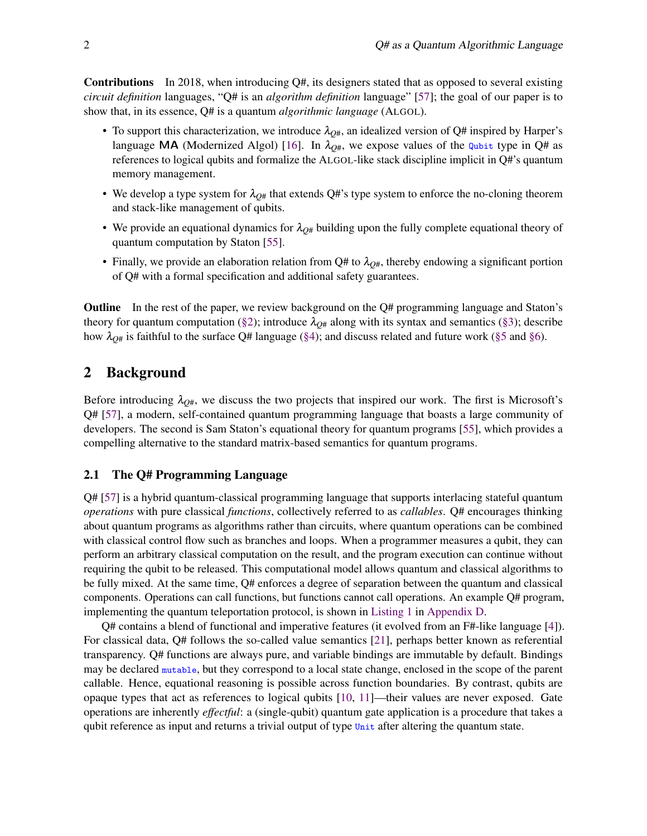Contributions In 2018, when introducing Q#, its designers stated that as opposed to several existing *circuit definition* languages, "Q# is an *algorithm definition* language" [\[57\]](#page-14-0); the goal of our paper is to show that, in its essence, Q# is a quantum *algorithmic language* (ALGOL).

- To support this characterization, we introduce  $\lambda_{O#}$ , an idealized version of Q# inspired by Harper's language **MA** (Modernized Algol) [\[16\]](#page-12-0). In  $\lambda_{O#}$ , we expose values of the qubit type in Q# as references to logical qubits and formalize the ALGOL-like stack discipline implicit in Q#'s quantum memory management.
- We develop a type system for  $\lambda_{Q#}$  that extends Q#'s type system to enforce the no-cloning theorem and stack-like management of qubits.
- We provide an equational dynamics for  $\lambda_{Q\#}$  building upon the fully complete equational theory of quantum computation by Staton [\[55\]](#page-14-2).
- Finally, we provide an elaboration relation from  $Q#$  to  $\lambda_{O#}$ , thereby endowing a significant portion of Q# with a formal specification and additional safety guarantees.

Outline In the rest of the paper, we review background on the Q# programming language and Staton's theory for quantum computation [\(§2\)](#page-1-0); introduce  $\lambda_{Q\#}$  along with its syntax and semantics [\(§3\)](#page-3-0); describe how  $\lambda_{Q\#}$  is faithful to the surface Q# language [\(§4\)](#page-8-0); and discuss related and future work [\(§5](#page-9-0) and [§6\)](#page-10-0).

## <span id="page-1-0"></span>2 Background

Before introducing  $\lambda_{O#}$ , we discuss the two projects that inspired our work. The first is Microsoft's Q# [\[57\]](#page-14-0), a modern, self-contained quantum programming language that boasts a large community of developers. The second is Sam Staton's equational theory for quantum programs [\[55\]](#page-14-2), which provides a compelling alternative to the standard matrix-based semantics for quantum programs.

### <span id="page-1-1"></span>2.1 The Q# Programming Language

Q# [\[57\]](#page-14-0) is a hybrid quantum-classical programming language that supports interlacing stateful quantum *operations* with pure classical *functions*, collectively referred to as *callables*. Q# encourages thinking about quantum programs as algorithms rather than circuits, where quantum operations can be combined with classical control flow such as branches and loops. When a programmer measures a qubit, they can perform an arbitrary classical computation on the result, and the program execution can continue without requiring the qubit to be released. This computational model allows quantum and classical algorithms to be fully mixed. At the same time, Q# enforces a degree of separation between the quantum and classical components. Operations can call functions, but functions cannot call operations. An example Q# program, implementing the quantum teleportation protocol, is shown in [Listing 1](#page-19-0) in [Appendix D.](#page-19-1)

Q# contains a blend of functional and imperative features (it evolved from an F#-like language [\[4\]](#page-12-1)). For classical data, Q# follows the so-called value semantics [\[21\]](#page-13-0), perhaps better known as referential transparency. Q# functions are always pure, and variable bindings are immutable by default. Bindings may be declared mutable, but they correspond to a local state change, enclosed in the scope of the parent callable. Hence, equational reasoning is possible across function boundaries. By contrast, qubits are opaque types that act as references to logical qubits [\[10,](#page-12-2) [11\]](#page-12-3)—their values are never exposed. Gate operations are inherently *effectful*: a (single-qubit) quantum gate application is a procedure that takes a qubit reference as input and returns a trivial output of type Unit after altering the quantum state.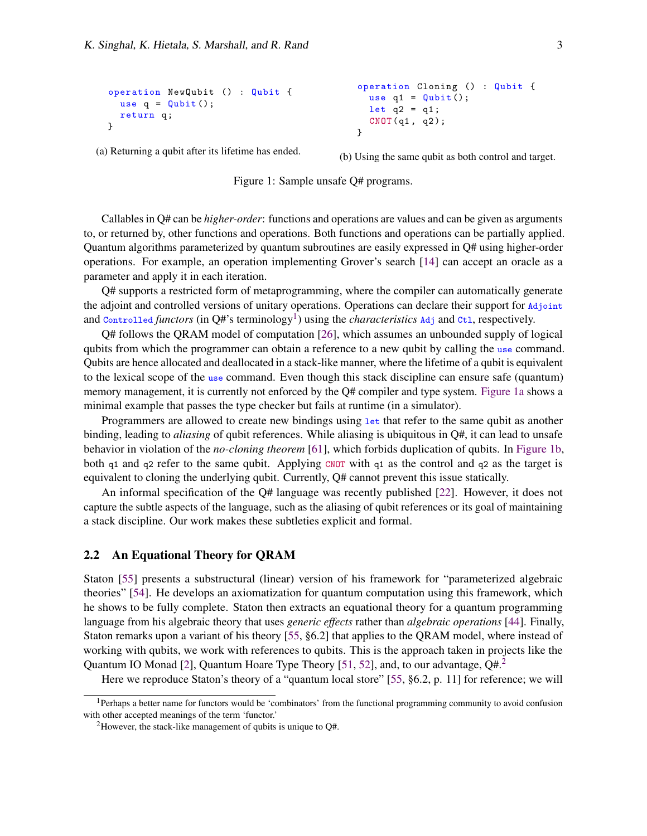```
operation NewQubit () : Qubit {
 use q = Qubit ();
 return q;
}
```

```
operation Cloning () : Qubit {
  use q1 = Qubit();
  let q2 = q1;
  CNOT(q1, q2);}
```
(a) Returning a qubit after its lifetime has ended.

(b) Using the same qubit as both control and target.



Callables in Q# can be *higher-order*: functions and operations are values and can be given as arguments to, or returned by, other functions and operations. Both functions and operations can be partially applied. Quantum algorithms parameterized by quantum subroutines are easily expressed in Q# using higher-order operations. For example, an operation implementing Grover's search [\[14\]](#page-12-4) can accept an oracle as a parameter and apply it in each iteration.

Q# supports a restricted form of metaprogramming, where the compiler can automatically generate the adjoint and controlled versions of unitary operations. Operations can declare their support for Adjoint and Controlled *functors* (in Q#'s terminology<sup>[1](#page-2-0)</sup>) using the *characteristics* Adj and Ctl, respectively.

Q# follows the QRAM model of computation [\[26\]](#page-13-1), which assumes an unbounded supply of logical qubits from which the programmer can obtain a reference to a new qubit by calling the use command. Qubits are hence allocated and deallocated in a stack-like manner, where the lifetime of a qubit is equivalent to the lexical scope of the use command. Even though this stack discipline can ensure safe (quantum) memory management, it is currently not enforced by the Q# compiler and type system. [Figure 1a](#page-2-1) shows a minimal example that passes the type checker but fails at runtime (in a simulator).

Programmers are allowed to create new bindings using let that refer to the same qubit as another binding, leading to *aliasing* of qubit references. While aliasing is ubiquitous in Q#, it can lead to unsafe behavior in violation of the *no-cloning theorem* [\[61\]](#page-15-0), which forbids duplication of qubits. In [Figure 1b,](#page-2-1) both q1 and q2 refer to the same qubit. Applying CNOT with q1 as the control and q2 as the target is equivalent to cloning the underlying qubit. Currently, Q# cannot prevent this issue statically.

An informal specification of the Q# language was recently published [\[22\]](#page-13-2). However, it does not capture the subtle aspects of the language, such as the aliasing of qubit references or its goal of maintaining a stack discipline. Our work makes these subtleties explicit and formal.

#### <span id="page-2-3"></span>2.2 An Equational Theory for QRAM

Staton [\[55\]](#page-14-2) presents a substructural (linear) version of his framework for "parameterized algebraic theories" [\[54\]](#page-14-3). He develops an axiomatization for quantum computation using this framework, which he shows to be fully complete. Staton then extracts an equational theory for a quantum programming language from his algebraic theory that uses *generic effects* rather than *algebraic operations* [\[44\]](#page-14-4). Finally, Staton remarks upon a variant of his theory [\[55,](#page-14-2) §6.2] that applies to the QRAM model, where instead of working with qubits, we work with references to qubits. This is the approach taken in projects like the Quantum IO Monad [\[2\]](#page-12-5), Quantum Hoare Type Theory [\[51,](#page-14-5) [52\]](#page-14-6), and, to our advantage,  $Q\#$ <sup>[2](#page-2-2)</sup>

Here we reproduce Staton's theory of a "quantum local store" [\[55,](#page-14-2) §6.2, p. 11] for reference; we will

<span id="page-2-0"></span><sup>1</sup>Perhaps a better name for functors would be 'combinators' from the functional programming community to avoid confusion with other accepted meanings of the term 'functor.'

<span id="page-2-2"></span><sup>&</sup>lt;sup>2</sup>However, the stack-like management of qubits is unique to  $Q#$ .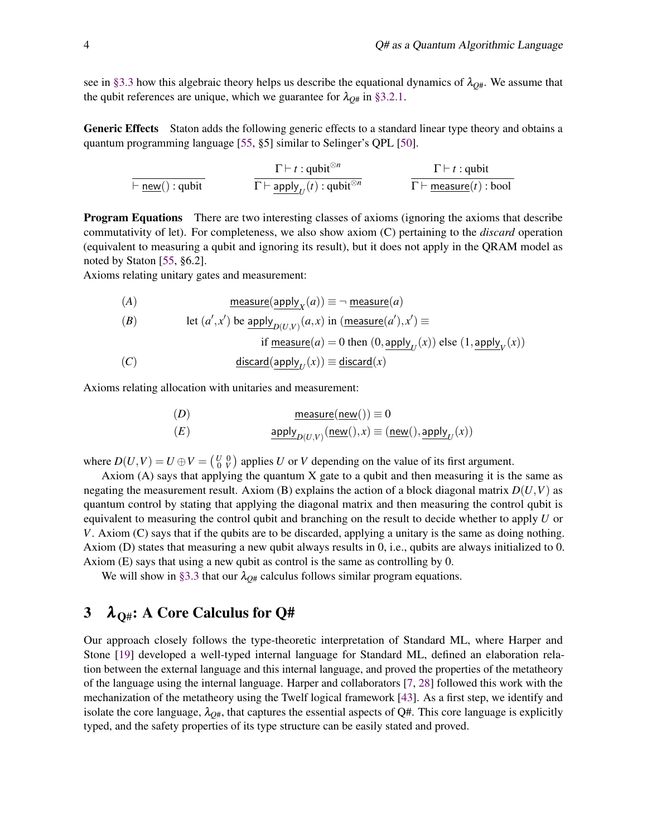see in [§3.3](#page-7-0) how this algebraic theory helps us describe the equational dynamics of  $\lambda_{Q\#}$ . We assume that the qubit references are unique, which we guarantee for  $\lambda_{Q#}$  in [§3.2.1.](#page-6-0)

Generic Effects Staton adds the following generic effects to a standard linear type theory and obtains a quantum programming language [\[55,](#page-14-2) §5] similar to Selinger's QPL [\[50\]](#page-14-7).

$$
\cfrac{\Gamma\vdash t:\text{qubit}^{\otimes n}}{\Gamma\vdash \underline{\text{apply}}_U(t):\text{qubit}^{\otimes n}}\qquad\qquad\cfrac{\Gamma\vdash t:\text{qubit}}{\Gamma\vdash \underline{\text{m easure}}(t):\text{bool}}
$$

Program Equations There are two interesting classes of axioms (ignoring the axioms that describe commutativity of let). For completeness, we also show axiom (C) pertaining to the *discard* operation (equivalent to measuring a qubit and ignoring its result), but it does not apply in the QRAM model as noted by Staton [\[55,](#page-14-2) §6.2].

Axioms relating unitary gates and measurement:

(*A*) measure(apply*<sup>X</sup>* (*a*)) ≡ ¬ measure(*a*)

(B) let 
$$
(a', x')
$$
 be apply <sub>$D(U,V)$</sub>  $(a,x)$  in (measure $(a'), x')$   $\equiv$ 

if 
$$
\underline{\text{measure}}(a) = 0
$$
 then  $(0, \underline{\text{apply}}_U(x))$  else  $(1, \underline{\text{apply}}_V(x))$ 

(*C*) discard(apply*<sup>U</sup>* (*x*)) ≡ discard(*x*)

Axioms relating allocation with unitaries and measurement:

(*D*) measure(new()) ≡ 0 (*E*) apply*D*(*U*,*V*) (new(), *x*) ≡ (new(),apply*<sup>U</sup>* (*x*))

where  $D(U, V) = U \oplus V = \begin{pmatrix} U & 0 \\ 0 & V \end{pmatrix}$  applies *U* or *V* depending on the value of its first argument.

Axiom  $(A)$  says that applying the quantum X gate to a qubit and then measuring it is the same as negating the measurement result. Axiom (B) explains the action of a block diagonal matrix  $D(U, V)$  as quantum control by stating that applying the diagonal matrix and then measuring the control qubit is equivalent to measuring the control qubit and branching on the result to decide whether to apply *U* or *V*. Axiom (C) says that if the qubits are to be discarded, applying a unitary is the same as doing nothing. Axiom (D) states that measuring a new qubit always results in 0, i.e., qubits are always initialized to 0. Axiom (E) says that using a new qubit as control is the same as controlling by 0.

We will show in [§3.3](#page-7-0) that our  $\lambda_{O#}$  calculus follows similar program equations.

## <span id="page-3-0"></span>3  $\lambda_{\text{O#}}$ : A Core Calculus for Q#

Our approach closely follows the type-theoretic interpretation of Standard ML, where Harper and Stone [\[19\]](#page-12-6) developed a well-typed internal language for Standard ML, defined an elaboration relation between the external language and this internal language, and proved the properties of the metatheory of the language using the internal language. Harper and collaborators [\[7,](#page-12-7) [28\]](#page-13-3) followed this work with the mechanization of the metatheory using the Twelf logical framework [\[43\]](#page-14-8). As a first step, we identify and isolate the core language,  $\lambda_{Q\#}$ , that captures the essential aspects of Q#. This core language is explicitly typed, and the safety properties of its type structure can be easily stated and proved.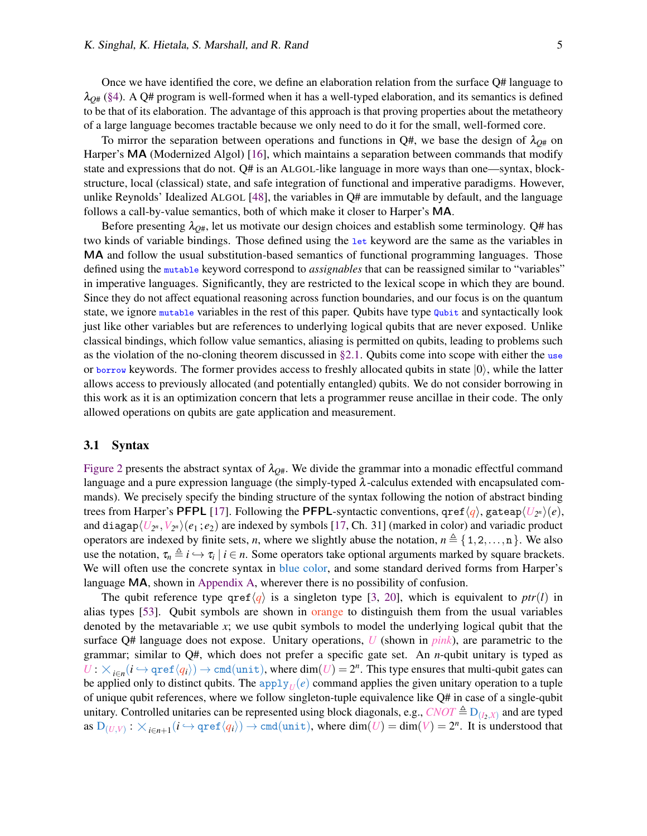Once we have identified the core, we define an elaboration relation from the surface Q# language to  $\lambda_{Q\#}$  [\(§4\)](#page-8-0). A Q# program is well-formed when it has a well-typed elaboration, and its semantics is defined to be that of its elaboration. The advantage of this approach is that proving properties about the metatheory of a large language becomes tractable because we only need to do it for the small, well-formed core.

To mirror the separation between operations and functions in  $Q#$ , we base the design of  $\lambda_{Q#}$  on Harper's MA (Modernized Algol) [\[16\]](#page-12-0), which maintains a separation between commands that modify state and expressions that do not. Q# is an ALGOL-like language in more ways than one—syntax, blockstructure, local (classical) state, and safe integration of functional and imperative paradigms. However, unlike Reynolds' Idealized ALGOL [\[48\]](#page-14-1), the variables in Q# are immutable by default, and the language follows a call-by-value semantics, both of which make it closer to Harper's MA.

Before presenting  $\lambda_{\text{O#}}$ , let us motivate our design choices and establish some terminology. Q# has two kinds of variable bindings. Those defined using the let keyword are the same as the variables in MA and follow the usual substitution-based semantics of functional programming languages. Those defined using the mutable keyword correspond to *assignables* that can be reassigned similar to "variables" in imperative languages. Significantly, they are restricted to the lexical scope in which they are bound. Since they do not affect equational reasoning across function boundaries, and our focus is on the quantum state, we ignore mutable variables in the rest of this paper. Qubits have type qubit and syntactically look just like other variables but are references to underlying logical qubits that are never exposed. Unlike classical bindings, which follow value semantics, aliasing is permitted on qubits, leading to problems such as the violation of the no-cloning theorem discussed in  $\S$ 2.1. Qubits come into scope with either the use or borrow keywords. The former provides access to freshly allocated qubits in state  $|0\rangle$ , while the latter allows access to previously allocated (and potentially entangled) qubits. We do not consider borrowing in this work as it is an optimization concern that lets a programmer reuse ancillae in their code. The only allowed operations on qubits are gate application and measurement.

#### 3.1 Syntax

[Figure 2](#page-5-0) presents the abstract syntax of  $\lambda_{Q\#}$ . We divide the grammar into a monadic effectful command language and a pure expression language (the simply-typed  $\lambda$ -calculus extended with encapsulated commands). We precisely specify the binding structure of the syntax following the notion of abstract binding trees from Harper's <code>PFPL</code> [\[17\]](#page-12-8). Following the <code>PFPL-syntactic conventions,  $\texttt{qref}\langle q\rangle,$  gateap $\langle U_{2^n}\rangle(e),$ </code> and diagap $\langle U_{2^n},V_{2^n}\rangle(e_1;e_2)$  are indexed by symbols [\[17,](#page-12-8) Ch. 31] (marked in color) and variadic product operators are indexed by finite sets, *n*, where we slightly abuse the notation,  $n \triangleq \{1,2,\ldots,n\}$ . We also use the notation,  $\tau_n \triangleq i \hookrightarrow \tau_i \mid i \in n$ . Some operators take optional arguments marked by square brackets. We will often use the concrete syntax in blue color, and some standard derived forms from Harper's language MA, shown in [Appendix A,](#page-16-0) wherever there is no possibility of confusion.

The qubit reference type  $\text{qref}\langle q \rangle$  is a singleton type [\[3,](#page-12-9) [20\]](#page-12-10), which is equivalent to *ptr*(*l*) in alias types [\[53\]](#page-14-9). Qubit symbols are shown in orange to distinguish them from the usual variables denoted by the metavariable *x*; we use qubit symbols to model the underlying logical qubit that the surface Q# language does not expose. Unitary operations, *U* (shown in *pink*), are parametric to the grammar; similar to Q#, which does not prefer a specific gate set. An *n*-qubit unitary is typed as  $U: \times_{i \in n} (i \hookrightarrow \text{qref} \langle q_i \rangle) \to \text{cmd}(\text{unit})$ , where  $\dim(U) = 2^n$ . This type ensures that multi-qubit gates can be applied only to distinct qubits. The apply $U(\epsilon)$  command applies the given unitary operation to a tuple of unique qubit references, where we follow singleton-tuple equivalence like Q# in case of a single-qubit unitary. Controlled unitaries can be represented using block diagonals, e.g., *CNOT*  $\triangleq$  D<sub>(*I*<sub>2</sub>,*X*)</sub> and are typed as  $D_{(U,V)}: \times_{i \in n+1} (i \hookrightarrow \text{qref} \langle q_i \rangle) \rightarrow \text{cmd}(\text{unit}),$  where  $\dim(U) = \dim(V) = 2^n$ . It is understood that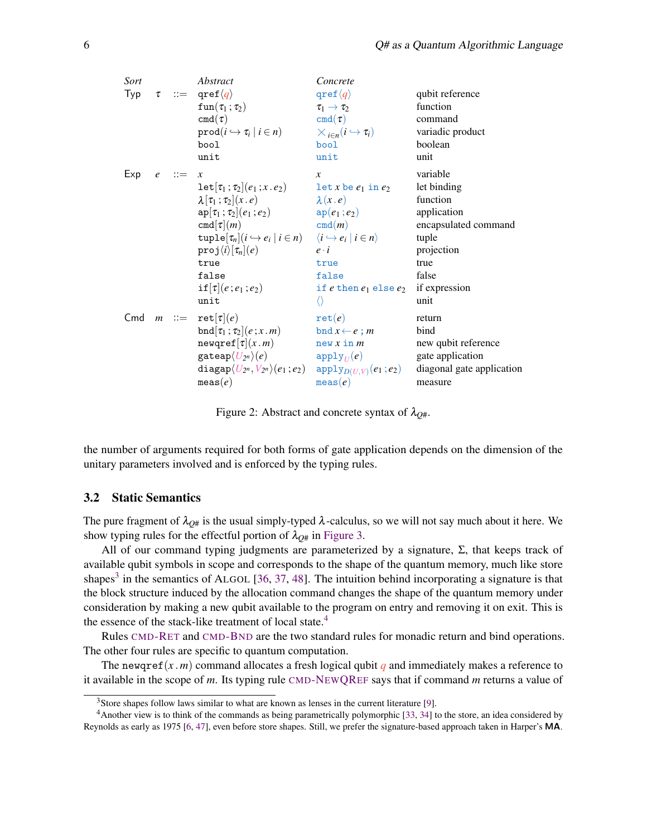<span id="page-5-0"></span>

| Sort |         | Abstract                                                                                                                                                                                                                                                                                                      | Concrete                                                                                                                                                                                                        |                                                                                                                                             |
|------|---------|---------------------------------------------------------------------------------------------------------------------------------------------------------------------------------------------------------------------------------------------------------------------------------------------------------------|-----------------------------------------------------------------------------------------------------------------------------------------------------------------------------------------------------------------|---------------------------------------------------------------------------------------------------------------------------------------------|
| Typ  |         | $\tau$ := qref $\langle q \rangle$<br>$fun(\tau_1;\tau_2)$<br>$\text{cmd}(\tau)$<br>$\text{prod}(i \hookrightarrow \tau_i \mid i \in n)$<br>bool<br>unit                                                                                                                                                      | $\text{qref}\langle q\rangle$<br>$\tau_1 \rightarrow \tau_2$<br>$\text{cmd}(\tau)$<br>$\times_{i\in n}(i\hookrightarrow \tau_i)$<br>bool<br>unit                                                                | qubit reference<br>function<br>command<br>variadic product<br>boolean<br>unit                                                               |
| Exp  | $e$ ::= | $\boldsymbol{\chi}$<br>$\texttt{let}[\tau_1;\tau_2](e_1;x.e_2)$<br>$\lambda[\tau_1;\tau_2](x.e)$<br>$ap[\tau_1;\tau_2](e_1;e_2)$<br>cmd $\tau$ $(m)$<br>$\text{tuple}[\tau_n](i \hookrightarrow e_i   i \in n) \quad \langle i \hookrightarrow e_i   i \in n \rangle$<br>$proj \langle i \rangle [\tau_n](e)$ | $\mathcal{X}$<br>$let x be e_1 in e_2$<br>$\lambda(x,e)$<br>$ap(e_1;e_2)$<br>cmd(m)<br>$e \cdot i$                                                                                                              | variable<br>let binding<br>function<br>application<br>encapsulated command<br>tuple<br>projection                                           |
|      |         | true<br>false<br>$if[\tau](e;e_1;e_2)$<br>unit<br>Cmd $m ::= \text{ret}[\tau](e)$<br>bnd $[\tau_1;\tau_2](e;x,m)$<br>$newqref[\tau](x.m)$<br>$\texttt{gateap}\langle U_{2^n}\rangle(e)$<br>$\texttt{diagap}\langle U_{2^n},V_{2^n}\rangle(e_1\,;e_2)$<br>meas(e)                                              | true<br>false<br>if $e$ then $e_1$ else $e_2$<br>$\langle \rangle$<br>$\mathtt{ret}(e)$<br>bnd $x \leftarrow e$ ; m<br>new x in m<br>$\mathtt{apply}_U(e)$<br>$\mathtt{apply}_{D(U,V)}(e_1 \,; e_2)$<br>meas(e) | true<br>false<br>if expression<br>unit<br>return<br>bind<br>new qubit reference<br>gate application<br>diagonal gate application<br>measure |

Figure 2: Abstract and concrete syntax of  $\lambda_{O#}$ .

the number of arguments required for both forms of gate application depends on the dimension of the unitary parameters involved and is enforced by the typing rules.

#### 3.2 Static Semantics

The pure fragment of  $\lambda_{Q\#}$  is the usual simply-typed  $\lambda$ -calculus, so we will not say much about it here. We show typing rules for the effectful portion of  $\lambda_{Q\#}$  in [Figure 3.](#page-6-1)

All of our command typing judgments are parameterized by a signature, Σ, that keeps track of available qubit symbols in scope and corresponds to the shape of the quantum memory, much like store shapes<sup>[3](#page-5-1)</sup> in the semantics of ALGOL [\[36,](#page-13-4) [37,](#page-13-5) [48\]](#page-14-1). The intuition behind incorporating a signature is that the block structure induced by the allocation command changes the shape of the quantum memory under consideration by making a new qubit available to the program on entry and removing it on exit. This is the essence of the stack-like treatment of local state.<sup>[4](#page-5-2)</sup>

Rules [CMD](#page-6-2)-RET and [CMD](#page-6-3)-BND are the two standard rules for monadic return and bind operations. The other four rules are specific to quantum computation.

The newqref(x, m) command allocates a fresh logical qubit q and immediately makes a reference to it available in the scope of *m*. Its typing rule [CMD](#page-6-4)-NEWQREF says that if command *m* returns a value of

<span id="page-5-2"></span><span id="page-5-1"></span> $3$ Store shapes follow laws similar to what are known as lenses in the current literature [\[9\]](#page-12-11).

<sup>4</sup>Another view is to think of the commands as being parametrically polymorphic [\[33,](#page-13-6) [34\]](#page-13-7) to the store, an idea considered by Reynolds as early as 1975 [\[6,](#page-12-12) [47\]](#page-14-10), even before store shapes. Still, we prefer the signature-based approach taken in Harper's MA.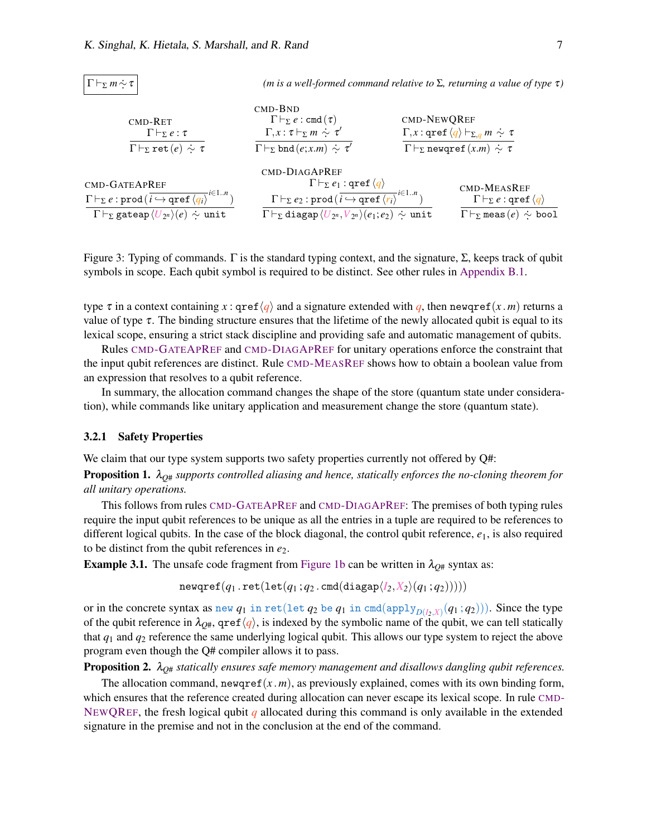<span id="page-6-4"></span><span id="page-6-3"></span><span id="page-6-2"></span><span id="page-6-1"></span>

| $\Gamma\vdash_{\Sigma} m \stackrel{.}{\sim} \tau$                                                                                                                                                                | ( <i>m</i> is a well-formed command relative to $\Sigma$ , returning a value of type $\tau$ )                                                                                                                                                                                      |             |                                                                                                                                 |
|------------------------------------------------------------------------------------------------------------------------------------------------------------------------------------------------------------------|------------------------------------------------------------------------------------------------------------------------------------------------------------------------------------------------------------------------------------------------------------------------------------|-------------|---------------------------------------------------------------------------------------------------------------------------------|
| $CMD-RET$<br>$\Gamma \vdash_{\Sigma} e : \tau$<br>$\Gamma\vdash_{\Sigma}\mathrm{ret}(e)\,\sim\,\tau$                                                                                                             | $CMD-BND$<br>$\Gamma\vdash_{\Sigma} e:\text{cmd}(\tau)$<br>$\Gamma, x : \tau \vdash_{\Sigma} m \sim \tau'$<br>$\Gamma\vdash_{\Sigma} \text{bnd}(e; x.m) \sim \tau'$                                                                                                                | CMD-NEWOREF | $\Gamma, x : \text{qref} \langle q \rangle \vdash_{\Sigma, q} m \sim \tau$<br>$\Gamma\vdash_{\Sigma}$ newqref $(x.m) \sim \tau$ |
| CMD-GATEAPREF<br>$\Gamma\vdash_{\Sigma} e:\text{prod}(\overline{i\hookrightarrow \text{pref}\left\langle q_{i}\right\rangle}^{i\in 1n})$<br>$\Gamma\vdash_{\Sigma}$ gateap $\langle U_{2^n}\rangle(e) \sim$ unit | CMD-DIAGAPREF<br>$\Gamma\vdash_{\Sigma} e_1:$ qref $\langle q \rangle$<br>$\Gamma\vdash_{\Sigma}e_2:\text{prod}(\overline{i\hookrightarrow \text{pref}\langle r_i\rangle}^{i\in 1n})$<br>$\Gamma\vdash_{\Sigma}$ diagap $\langle U_{2^n}, V_{2^n}\rangle(e_1;e_2)\sim \text{unit}$ |             | CMD-MEASREF<br>$\Gamma\vdash_{\Sigma}e:\text{gref}\langle q\rangle$<br>$\Gamma\vdash_{\Sigma}$ meas $(e) \sim$ bool             |

<span id="page-6-7"></span><span id="page-6-6"></span><span id="page-6-5"></span>Figure 3: Typing of commands. Γ is the standard typing context, and the signature, Σ, keeps track of qubit symbols in scope. Each qubit symbol is required to be distinct. See other rules in [Appendix B.1.](#page-16-1)

type  $\tau$  in a context containing  $x$ : qref $\langle q \rangle$  and a signature extended with *q*, then newqref(*x* .*m*) returns a value of type  $\tau$ . The binding structure ensures that the lifetime of the newly allocated qubit is equal to its lexical scope, ensuring a strict stack discipline and providing safe and automatic management of qubits.

Rules [CMD](#page-6-5)-GATEAPREF and [CMD](#page-6-6)-DIAGAPREF for unitary operations enforce the constraint that the input qubit references are distinct. Rule [CMD](#page-6-7)-MEASREF shows how to obtain a boolean value from an expression that resolves to a qubit reference.

In summary, the allocation command changes the shape of the store (quantum state under consideration), while commands like unitary application and measurement change the store (quantum state).

#### <span id="page-6-0"></span>3.2.1 Safety Properties

We claim that our type system supports two safety properties currently not offered by Q#:

Proposition 1. λ*Q*# *supports controlled aliasing and hence, statically enforces the no-cloning theorem for all unitary operations.*

This follows from rules [CMD](#page-6-5)-GATEAPREF and [CMD](#page-6-6)-DIAGAPREF: The premises of both typing rules require the input qubit references to be unique as all the entries in a tuple are required to be references to different logical qubits. In the case of the block diagonal, the control qubit reference, *e*1, is also required to be distinct from the qubit references in *e*2.

**Example 3.1.** The unsafe code fragment from [Figure 1b](#page-2-1) can be written in  $\lambda_{O#}$  syntax as:

 $newqref(q_1.ret(left(q_1; q_2).cmd(diagap $(I_2, X_2)(q_1; q_2))))$$ 

or in the concrete syntax as  $new\ q_1$  in  $\text{ret}(\text{let }q_2$  be  $q_1$  in  $\text{cmd}( \text{apply}_{D(l_2,X)}(q_1\,;q_2) ))$ . Since the type of the qubit reference in  $\lambda_{Q#}$ , qref $\langle q \rangle$ , is indexed by the symbolic name of the qubit, we can tell statically that *q*<sup>1</sup> and *q*<sup>2</sup> reference the same underlying logical qubit. This allows our type system to reject the above program even though the Q# compiler allows it to pass.

Proposition 2. λ*Q*# *statically ensures safe memory management and disallows dangling qubit references.*

The allocation command, newqref $(x, m)$ , as previously explained, comes with its own binding form, which ensures that the reference created during allocation can never escape its lexical scope. In rule [CMD](#page-6-4)-NEW[QR](#page-6-4)EF, the fresh logical qubit *q* allocated during this command is only available in the extended signature in the premise and not in the conclusion at the end of the command.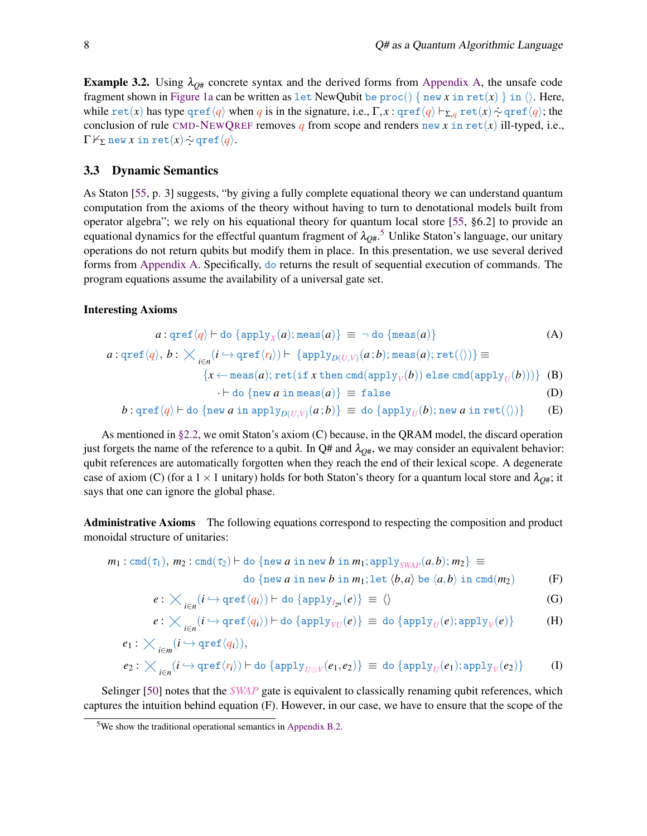**Example 3.2.** Using  $\lambda_{Q\#}$  concrete syntax and the derived forms from [Appendix A,](#page-16-0) the unsafe code fragment shown in [Figure 1a](#page-2-1) can be written as let NewQubit be  $\text{proc}() \{ new x in ret(x) \} in \langle \rangle$ . Here, while  $\text{ret}(x)$  has type  $\text{qref}\langle q \rangle$  when *q* is in the signature, i.e.,  $\Gamma, x : \text{qref}\langle q \rangle \vdash_{\Sigma, q} \text{ret}(x) \sim \text{qref}\langle q \rangle$ ; the conclusion of rule [CMD](#page-0-0)-NEWQREF removes  $q$  from scope and renders new  $x$  in ret( $x$ ) ill-typed, i.e.,  $\Gamma \nvdash_{\Sigma}$  new *x* in ret(*x*)  $\sim$  qref $\langle q \rangle$ .

### <span id="page-7-0"></span>3.3 Dynamic Semantics

As Staton [\[55,](#page-14-2) p. 3] suggests, "by giving a fully complete equational theory we can understand quantum computation from the axioms of the theory without having to turn to denotational models built from operator algebra"; we rely on his equational theory for quantum local store [\[55,](#page-14-2) §6.2] to provide an equational dynamics for the effectful quantum fragment of  $\lambda_{Q\#}.^5$  $\lambda_{Q\#}.^5$  Unlike Staton's language, our unitary operations do not return qubits but modify them in place. In this presentation, we use several derived forms from [Appendix A.](#page-16-0) Specifically, do returns the result of sequential execution of commands. The program equations assume the availability of a universal gate set.

#### Interesting Axioms

$$
a: \operatorname{qref}\langle q \rangle \vdash \operatorname{do} \{\operatorname{apply}_X(a); \operatorname{meas}(a)\} \equiv \neg \operatorname{do} \{\operatorname{meas}(a)\} \tag{A}
$$
\n
$$
a: \operatorname{qref}\langle q \rangle, b: \times_{i \in n} (i \hookrightarrow \operatorname{qref}\langle r_i \rangle) \vdash \{\operatorname{apply}_{D(U,V)}(a;b); \operatorname{meas}(a); \operatorname{ret}(\langle \rangle)\} \equiv
$$
\n
$$
\{x \leftarrow \operatorname{meas}(a); \operatorname{ret}(if x \operatorname{then} \operatorname{cmd}(\operatorname{apply}_V(b)) \operatorname{else} \operatorname{cmd}(\operatorname{apply}_U(b)))\} \quad \text{(B)}
$$
\n
$$
\vdash \operatorname{do} \{\operatorname{new} a \operatorname{in} \operatorname{meas}(a)\} \equiv \operatorname{false} \tag{D}
$$
\n
$$
b: \operatorname{qref}\langle q \rangle \vdash \operatorname{do} \{\operatorname{new} a \operatorname{in} \operatorname{apply}_{D(U,V)}(a;b)\} \equiv \operatorname{do} \{\operatorname{apply}_U(b); \operatorname{new} a \operatorname{in} \operatorname{ret}(\langle \rangle)\} \tag{E}
$$

As mentioned in §2.2, we omit Station's axiom (C) because, in the QRAM model, the discard operation just forgets the name of the reference to a qubit. In Q# and 
$$
\lambda_{Q^{\#}}
$$
, we may consider an equivalent behavior: qubit references are automatically forgotten when they reach the end of their lexical scope. A degenerate case of axiom (C) (for a 1 × 1 unitary) holds for both Station's theory for a quantum local store and  $\lambda_{Q^{\#}}$ ; it

says that one can ignore the global phase.

Administrative Axioms The following equations correspond to respecting the composition and product monoidal structure of unitaries:

$$
m_1: \operatorname{cmd}(\tau_1), m_2: \operatorname{cmd}(\tau_2) \vdash \operatorname{do} \{\operatorname{new} a \text{ in new } b \text{ in } m_1; \operatorname{apply}_{SWAP}(a, b); m_2\} \equiv
$$

do {new *a* in new *b* in 
$$
m_1
$$
; let  $\langle b, a \rangle$  be  $\langle a, b \rangle$  in  $\text{cmd}(m_2)$  (F)

$$
e: \bigtimes_{i \in n} (i \hookrightarrow \mathrm{qref} \langle q_i \rangle) \vdash \mathrm{do} \{ \mathrm{apply}_{I_{2^n}}(e) \} \equiv \langle \rangle \tag{G}
$$

$$
e : \bigtimes_{i \in n} (i \hookrightarrow \text{qref} \langle q_i \rangle) \vdash \text{do} \{ \text{apply}_{\textit{VU}}(e) \} \equiv \text{do} \{ \text{apply}_{\textit{U}}(e); \text{apply}_{\textit{V}}(e) \} \tag{\textbf{H}}
$$

$$
e_1: \bigtimes_{i \in m} (i \hookrightarrow \mathrm{qref}\langle q_i \rangle),
$$

$$
e_2: \bigtimes_{i \in n} (i \hookrightarrow \mathrm{qref} \langle r_i \rangle) \vdash \mathrm{do} \{ \mathrm{apply}_{U \otimes V}(e_1, e_2) \} \equiv \mathrm{do} \{ \mathrm{apply}_{U}(e_1); \mathrm{apply}_{V}(e_2) \} \tag{I}
$$

Selinger [\[50\]](#page-14-7) notes that the *SWAP* gate is equivalent to classically renaming qubit references, which captures the intuition behind equation (F). However, in our case, we have to ensure that the scope of the

<span id="page-7-1"></span> $5$ We show the traditional operational semantics in [Appendix B.2.](#page-17-0)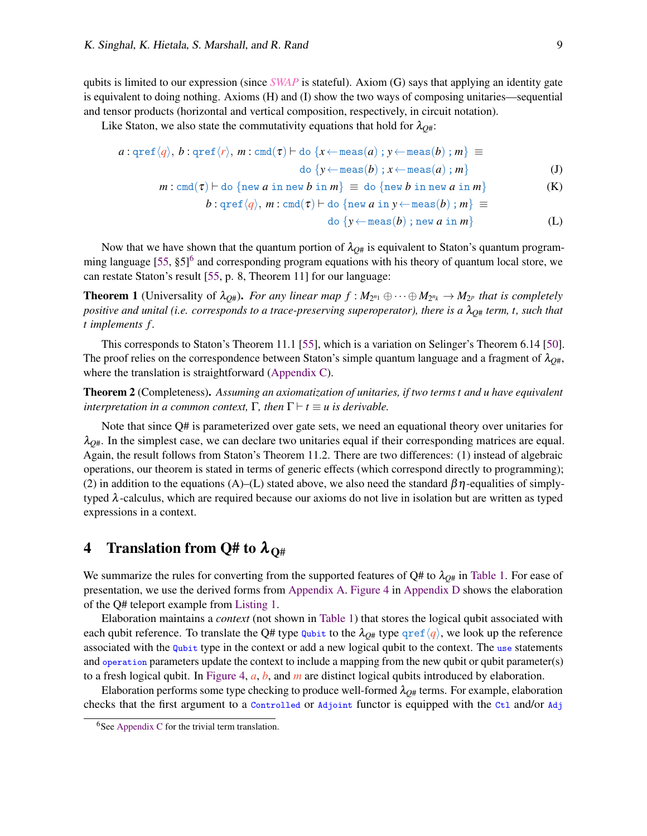qubits is limited to our expression (since *SWAP* is stateful). Axiom (G) says that applying an identity gate is equivalent to doing nothing. Axioms (H) and (I) show the two ways of composing unitaries—sequential and tensor products (horizontal and vertical composition, respectively, in circuit notation).

Like Staton, we also state the commutativity equations that hold for  $\lambda_{Q\#}$ :

$$
a: \operatorname{qref}\langle q \rangle, b: \operatorname{qref}\langle r \rangle, m: \operatorname{cmd}(\tau) \vdash \operatorname{do} \{x \leftarrow \operatorname{meas}(a) \, ; \, y \leftarrow \operatorname{meas}(b) \, ; \, m\} \equiv
$$
\n
$$
\operatorname{do} \{y \leftarrow \operatorname{meas}(b) \, ; \, x \leftarrow \operatorname{meas}(a) \, ; \, m\}
$$
\n
$$
m: \operatorname{cmd}(\tau) \vdash \operatorname{do} \{\operatorname{new} \, a \, \operatorname{in} \, \operatorname{new} \, b \, \operatorname{in} \, m\} \equiv \operatorname{do} \{\operatorname{new} \, b \, \operatorname{in} \, \operatorname{new} \, a \, \operatorname{in} \, m\}
$$
\n
$$
b: \operatorname{qref}\langle q \rangle, m: \operatorname{cmd}(\tau) \vdash \operatorname{do} \{\operatorname{new} \, a \, \operatorname{in} \, y \leftarrow \operatorname{meas}(b) \, ; \, m\} \equiv
$$
\n
$$
(K)
$$

$$
\text{do } \{y \leftarrow \text{meas}(b) \text{ ; new } a \text{ in } m\} \tag{L}
$$

Now that we have shown that the quantum portion of  $\lambda_{O#}$  is equivalent to Staton's quantum program-ming language [\[55,](#page-14-2) §5]<sup>[6](#page-8-1)</sup> and corresponding program equations with his theory of quantum local store, we can restate Staton's result [\[55,](#page-14-2) p. 8, Theorem 11] for our language:

**Theorem 1** (Universality of  $\lambda_{Q\#}$ ). *For any linear map*  $f : M_{2^{n_1}} \oplus \cdots \oplus M_{2^{n_k}} \to M_{2^p}$  *that is completely positive and unital (i.e. corresponds to a trace-preserving superoperator), there is a*  $\lambda_{Q\#}$  *term, t, such that t implements f .*

This corresponds to Staton's Theorem 11.1 [\[55\]](#page-14-2), which is a variation on Selinger's Theorem 6.14 [\[50\]](#page-14-7). The proof relies on the correspondence between Staton's simple quantum language and a fragment of  $\lambda_{O#}$ , where the translation is straightforward [\(Appendix C\)](#page-18-0).

Theorem 2 (Completeness). *Assuming an axiomatization of unitaries, if two terms t and u have equivalent interpretation in a common context,*  $\Gamma$ *, then*  $\Gamma \vdash t \equiv u$  *is derivable.* 

Note that since Q# is parameterized over gate sets, we need an equational theory over unitaries for  $\lambda_{O#}$ . In the simplest case, we can declare two unitaries equal if their corresponding matrices are equal. Again, the result follows from Staton's Theorem 11.2. There are two differences: (1) instead of algebraic operations, our theorem is stated in terms of generic effects (which correspond directly to programming); (2) in addition to the equations (A)–(L) stated above, we also need the standard  $\beta\eta$ -equalities of simplytyped λ-calculus, which are required because our axioms do not live in isolation but are written as typed expressions in a context.

## <span id="page-8-0"></span>4 Translation from Q# to  $\lambda_{\Omega^{\#}}$

We summarize the rules for converting from the supported features of  $Q#$  to  $\lambda_{Q#}$  in [Table 1.](#page-9-1) For ease of presentation, we use the derived forms from [Appendix A.](#page-16-0) [Figure 4](#page-20-0) in [Appendix D](#page-19-1) shows the elaboration of the Q# teleport example from [Listing 1.](#page-19-0)

Elaboration maintains a *context* (not shown in [Table 1\)](#page-9-1) that stores the logical qubit associated with each qubit reference. To translate the Q# type  $\frac{q_{\text{ubit}}}{q}$  to the  $\lambda_{\text{O#}}$  type  $\frac{q_{\text{ref}}}{q}$ , we look up the reference associated with the Qubit type in the context or add a new logical qubit to the context. The use statements and operation parameters update the context to include a mapping from the new qubit or qubit parameter(s) to a fresh logical qubit. In [Figure 4,](#page-20-0) *a*, *b*, and *m* are distinct logical qubits introduced by elaboration.

Elaboration performs some type checking to produce well-formed  $\lambda_{Q#}$  terms. For example, elaboration checks that the first argument to a Controlled or Adjoint functor is equipped with the Ctl and/or Adj

<span id="page-8-1"></span> $6$ See [Appendix C](#page-18-0) for the trivial term translation.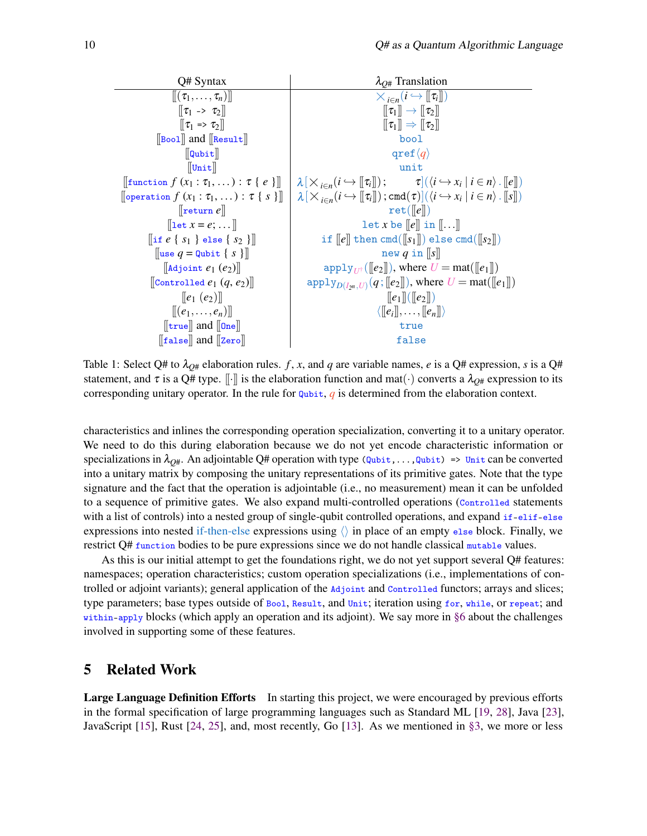<span id="page-9-1"></span>

| Q# Syntax                                                                                                                 | $\lambda_{O#}$ Translation                                                                                                                                              |  |
|---------------------------------------------------------------------------------------------------------------------------|-------------------------------------------------------------------------------------------------------------------------------------------------------------------------|--|
| $\llbracket (\tau_1,\ldots,\tau_n)\rrbracket$                                                                             | $\times_{i\in n}(i\hookrightarrow [\![\tau_i]\!])$                                                                                                                      |  |
| $\llbracket \tau_1 \to \tau_2 \rrbracket$                                                                                 | $\llbracket \tau_1 \rrbracket \rightarrow \llbracket \tau_2 \rrbracket$                                                                                                 |  |
| $\llbracket \tau_1 \Rightarrow \tau_2 \rrbracket$                                                                         | $\llbracket \tau_1 \rrbracket \Rightarrow \llbracket \tau_2 \rrbracket$                                                                                                 |  |
| $\left[\begin{bmatrix} \text{Bool} \end{bmatrix} \right]$ and $\left[\begin{bmatrix} \text{Result} \end{bmatrix} \right]$ | bool                                                                                                                                                                    |  |
| $\left\ $ Qubit $\right\ $                                                                                                | qref $\langle q \rangle$                                                                                                                                                |  |
| $\Vert$ Unit $\Vert$                                                                                                      | unit                                                                                                                                                                    |  |
| $\left\ \text{function } f(x_1 : \tau_1, \dots) : \tau \{e\}\right\ $                                                     | $\lambda[\times_{i \in n} (i \hookrightarrow [\![\tau_i]\!])$ ; $\tau](\langle i \hookrightarrow x_i   i \in n \rangle$ . $[\![e]\!]$ )                                 |  |
| $\left[\text{operation } f(x_1 : \tau_1, \dots) : \tau \{ s \} \right]$                                                   | $\lambda[\times_{i\in n}(i\hookrightarrow \llbracket \tau_i \rrbracket)$ ; cmd $(\tau)[(\langle i\hookrightarrow x_i \mid i\in n\rangle \cdot \llbracket s \rrbracket)$ |  |
| $\left\Vert \mathbf{return } e \right\Vert$                                                                               | ret([e])                                                                                                                                                                |  |
| $\left[ \left[ \det x = e; \dots \right] \right]$                                                                         | let x be $\llbracket e \rrbracket$ in $\llbracket \ldots \rrbracket$                                                                                                    |  |
| $\left[\begin{matrix} \text{if } e \{s_1\} \text{else } \{s_2\} \end{matrix}\right]$                                      | if $\llbracket e \rrbracket$ then cmd( $\llbracket s_1 \rrbracket$ ) else cmd( $\llbracket s_2 \rrbracket$ )                                                            |  |
| $\left[\begin{matrix} \text{use } q = \text{Qubit} \end{matrix} \left\{ s \right\} \right]$                               | new q in $  s  $                                                                                                                                                        |  |
| $\left\Vert$ Adjoint $e_1$ $(e_2)$ $\right\Vert$                                                                          | $\text{apply}_{U^{\dagger}}(\llbracket e_2 \rrbracket)$ , where $U = \text{mat}(\llbracket e_1 \rrbracket)$                                                             |  |
| $\llbracket$ Controlled $e_1$ $(q, e_2) \rrbracket$                                                                       | $\text{apply}_{D(I_{2^n},U)}(q;[[e_2]]),$ where $U = \text{mat}([[e_1]])$                                                                                               |  |
| $\llbracket e_1(e_2) \rrbracket$                                                                                          | $\ e_1\ (\ e_2\ )$                                                                                                                                                      |  |
| $[[ (e_1, \ldots, e_n) ]]$                                                                                                | $\langle [e_i], \ldots, [e_n] \rangle$                                                                                                                                  |  |
| $[\lfloor \text{true} \rfloor]$ and $[\lfloor 0 \text{ne} \rfloor]$                                                       | true                                                                                                                                                                    |  |
| $\left[\left[\text{false}\right]\right]$ and $\left[\left[\text{Zero}\right]\right]$                                      | false                                                                                                                                                                   |  |

Table 1: Select Q# to  $\lambda_{O#}$  elaboration rules. *f*, *x*, and *q* are variable names, *e* is a Q# expression, *s* is a Q# statement, and  $\tau$  is a Q# type.  $\lbrack \cdot \rbrack$  is the elaboration function and mat( $\cdot$ ) converts a  $\lambda_{O#}$  expression to its corresponding unitary operator. In the rule for Qubit, *q* is determined from the elaboration context.

characteristics and inlines the corresponding operation specialization, converting it to a unitary operator. We need to do this during elaboration because we do not yet encode characteristic information or specializations in  $\lambda_{O#}$ . An adjointable Q# operation with type ( $\mathbb{Q}$ ubit,..., $\mathbb{Q}$ ubit) => Unit can be converted into a unitary matrix by composing the unitary representations of its primitive gates. Note that the type signature and the fact that the operation is adjointable (i.e., no measurement) mean it can be unfolded to a sequence of primitive gates. We also expand multi-controlled operations (Controlled statements with a list of controls) into a nested group of single-qubit controlled operations, and expand if-elif-else expressions into nested if-then-else expressions using  $\langle \rangle$  in place of an empty else block. Finally, we restrict Q# function bodies to be pure expressions since we do not handle classical mutable values.

As this is our initial attempt to get the foundations right, we do not yet support several Q# features: namespaces; operation characteristics; custom operation specializations (i.e., implementations of controlled or adjoint variants); general application of the Adjoint and Controlled functors; arrays and slices; type parameters; base types outside of Bool, Result, and Unit; iteration using for, while, or repeat; and within-apply blocks (which apply an operation and its adjoint). We say more in [§6](#page-10-0) about the challenges involved in supporting some of these features.

### <span id="page-9-0"></span>5 Related Work

Large Language Definition Efforts In starting this project, we were encouraged by previous efforts in the formal specification of large programming languages such as Standard ML [\[19,](#page-12-6) [28\]](#page-13-3), Java [\[23\]](#page-13-8), JavaScript [\[15\]](#page-12-13), Rust [\[24,](#page-13-9) [25\]](#page-13-10), and, most recently, Go [\[13\]](#page-12-14). As we mentioned in [§3,](#page-3-0) we more or less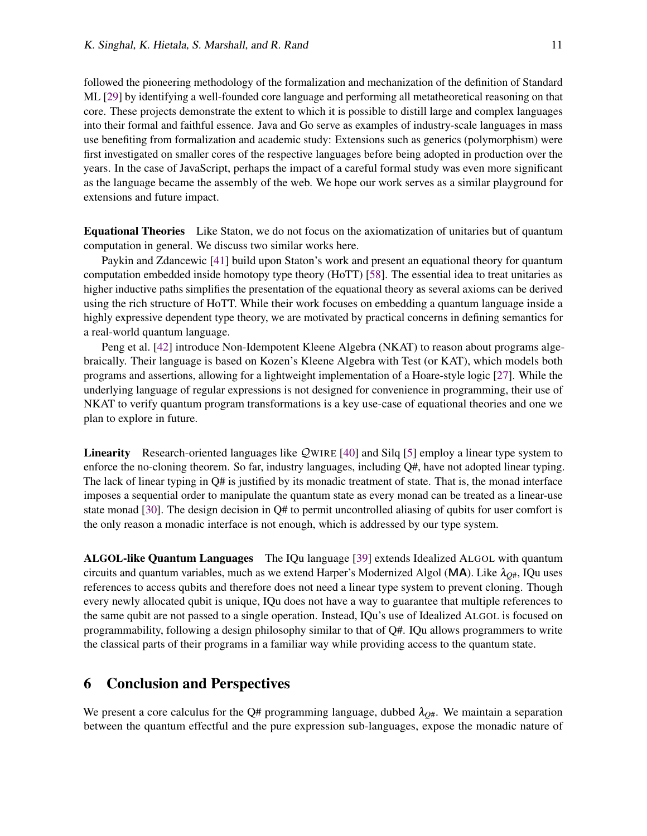followed the pioneering methodology of the formalization and mechanization of the definition of Standard ML [\[29\]](#page-13-11) by identifying a well-founded core language and performing all metatheoretical reasoning on that core. These projects demonstrate the extent to which it is possible to distill large and complex languages into their formal and faithful essence. Java and Go serve as examples of industry-scale languages in mass use benefiting from formalization and academic study: Extensions such as generics (polymorphism) were first investigated on smaller cores of the respective languages before being adopted in production over the years. In the case of JavaScript, perhaps the impact of a careful formal study was even more significant as the language became the assembly of the web. We hope our work serves as a similar playground for extensions and future impact.

Equational Theories Like Staton, we do not focus on the axiomatization of unitaries but of quantum computation in general. We discuss two similar works here.

Paykin and Zdancewic [\[41\]](#page-14-11) build upon Staton's work and present an equational theory for quantum computation embedded inside homotopy type theory (HoTT) [\[58\]](#page-15-1). The essential idea to treat unitaries as higher inductive paths simplifies the presentation of the equational theory as several axioms can be derived using the rich structure of HoTT. While their work focuses on embedding a quantum language inside a highly expressive dependent type theory, we are motivated by practical concerns in defining semantics for a real-world quantum language.

Peng et al. [\[42\]](#page-14-12) introduce Non-Idempotent Kleene Algebra (NKAT) to reason about programs algebraically. Their language is based on Kozen's Kleene Algebra with Test (or KAT), which models both programs and assertions, allowing for a lightweight implementation of a Hoare-style logic [\[27\]](#page-13-12). While the underlying language of regular expressions is not designed for convenience in programming, their use of NKAT to verify quantum program transformations is a key use-case of equational theories and one we plan to explore in future.

Linearity Research-oriented languages like QWIRE [\[40\]](#page-13-13) and Silq [\[5\]](#page-12-15) employ a linear type system to enforce the no-cloning theorem. So far, industry languages, including Q#, have not adopted linear typing. The lack of linear typing in Q# is justified by its monadic treatment of state. That is, the monad interface imposes a sequential order to manipulate the quantum state as every monad can be treated as a linear-use state monad [\[30\]](#page-13-14). The design decision in Q# to permit uncontrolled aliasing of qubits for user comfort is the only reason a monadic interface is not enough, which is addressed by our type system.

ALGOL-like Quantum Languages The IQu language [\[39\]](#page-13-15) extends Idealized ALGOL with quantum circuits and quantum variables, much as we extend Harper's Modernized Algol (MA). Like  $\lambda_{O#}$ , IQu uses references to access qubits and therefore does not need a linear type system to prevent cloning. Though every newly allocated qubit is unique, IQu does not have a way to guarantee that multiple references to the same qubit are not passed to a single operation. Instead, IQu's use of Idealized ALGOL is focused on programmability, following a design philosophy similar to that of  $Q#$ . IQu allows programmers to write the classical parts of their programs in a familiar way while providing access to the quantum state.

### <span id="page-10-0"></span>6 Conclusion and Perspectives

We present a core calculus for the Q# programming language, dubbed  $\lambda_{Q\#}$ . We maintain a separation between the quantum effectful and the pure expression sub-languages, expose the monadic nature of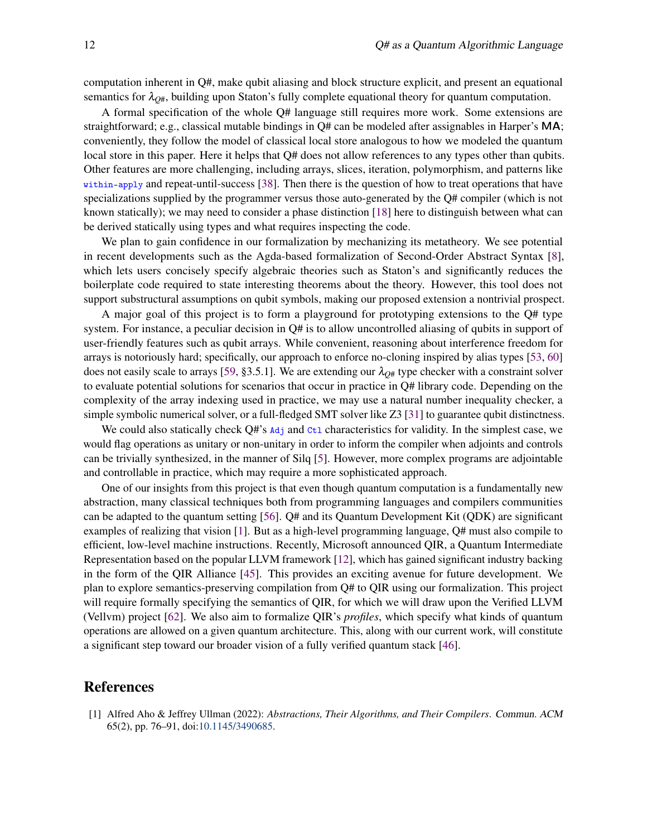computation inherent in Q#, make qubit aliasing and block structure explicit, and present an equational semantics for  $\lambda_{Q\#}$ , building upon Staton's fully complete equational theory for quantum computation.

A formal specification of the whole Q# language still requires more work. Some extensions are straightforward; e.g., classical mutable bindings in Q# can be modeled after assignables in Harper's MA; conveniently, they follow the model of classical local store analogous to how we modeled the quantum local store in this paper. Here it helps that Q# does not allow references to any types other than qubits. Other features are more challenging, including arrays, slices, iteration, polymorphism, and patterns like within-apply and repeat-until-success [\[38\]](#page-13-16). Then there is the question of how to treat operations that have specializations supplied by the programmer versus those auto-generated by the Q# compiler (which is not known statically); we may need to consider a phase distinction [\[18\]](#page-12-16) here to distinguish between what can be derived statically using types and what requires inspecting the code.

We plan to gain confidence in our formalization by mechanizing its metatheory. We see potential in recent developments such as the Agda-based formalization of Second-Order Abstract Syntax [\[8\]](#page-12-17), which lets users concisely specify algebraic theories such as Staton's and significantly reduces the boilerplate code required to state interesting theorems about the theory. However, this tool does not support substructural assumptions on qubit symbols, making our proposed extension a nontrivial prospect.

A major goal of this project is to form a playground for prototyping extensions to the Q# type system. For instance, a peculiar decision in Q# is to allow uncontrolled aliasing of qubits in support of user-friendly features such as qubit arrays. While convenient, reasoning about interference freedom for arrays is notoriously hard; specifically, our approach to enforce no-cloning inspired by alias types [\[53,](#page-14-9) [60\]](#page-15-2) does not easily scale to arrays [\[59,](#page-15-3) §3.5.1]. We are extending our  $\lambda_{O#}$  type checker with a constraint solver to evaluate potential solutions for scenarios that occur in practice in Q# library code. Depending on the complexity of the array indexing used in practice, we may use a natural number inequality checker, a simple symbolic numerical solver, or a full-fledged SMT solver like Z3 [\[31\]](#page-13-17) to guarantee qubit distinctness.

We could also statically check  $Q#s$  and  $\alpha$ <sup>t</sup> characteristics for validity. In the simplest case, we would flag operations as unitary or non-unitary in order to inform the compiler when adjoints and controls can be trivially synthesized, in the manner of Silq [\[5\]](#page-12-15). However, more complex programs are adjointable and controllable in practice, which may require a more sophisticated approach.

One of our insights from this project is that even though quantum computation is a fundamentally new abstraction, many classical techniques both from programming languages and compilers communities can be adapted to the quantum setting [\[56\]](#page-14-13). Q# and its Quantum Development Kit (QDK) are significant examples of realizing that vision [\[1\]](#page-11-0). But as a high-level programming language, Q# must also compile to efficient, low-level machine instructions. Recently, Microsoft announced QIR, a Quantum Intermediate Representation based on the popular LLVM framework [\[12\]](#page-12-18), which has gained significant industry backing in the form of the QIR Alliance [\[45\]](#page-14-14). This provides an exciting avenue for future development. We plan to explore semantics-preserving compilation from Q# to QIR using our formalization. This project will require formally specifying the semantics of QIR, for which we will draw upon the Verified LLVM (Vellvm) project [\[62\]](#page-15-4). We also aim to formalize QIR's *profiles*, which specify what kinds of quantum operations are allowed on a given quantum architecture. This, along with our current work, will constitute a significant step toward our broader vision of a fully verified quantum stack [\[46\]](#page-14-15).

### References

<span id="page-11-0"></span>[1] Alfred Aho & Jeffrey Ullman (2022): *Abstractions, Their Algorithms, and Their Compilers*. Commun. ACM 65(2), pp. 76–91, doi[:10.1145/3490685.](http://dx.doi.org/10.1145/3490685)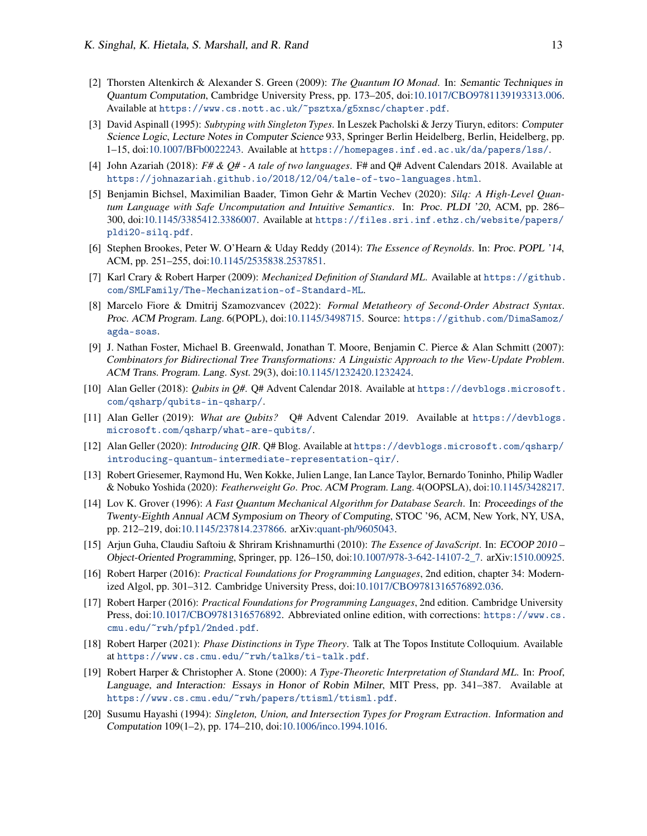- <span id="page-12-5"></span>[2] Thorsten Altenkirch & Alexander S. Green (2009): *The Quantum IO Monad*. In: Semantic Techniques in Quantum Computation, Cambridge University Press, pp. 173–205, doi[:10.1017/CBO9781139193313.006.](http://dx.doi.org/10.1017/CBO9781139193313.006) Available at <https://www.cs.nott.ac.uk/~psztxa/g5xnsc/chapter.pdf>.
- <span id="page-12-9"></span>[3] David Aspinall (1995): *Subtyping with Singleton Types*. In Leszek Pacholski & Jerzy Tiuryn, editors: Computer Science Logic, Lecture Notes in Computer Science 933, Springer Berlin Heidelberg, Berlin, Heidelberg, pp. 1–15, doi[:10.1007/BFb0022243.](http://dx.doi.org/10.1007/BFb0022243) Available at <https://homepages.inf.ed.ac.uk/da/papers/lss/>.
- <span id="page-12-1"></span>[4] John Azariah (2018): *F# & Q# - A tale of two languages*. F# and Q# Advent Calendars 2018. Available at <https://johnazariah.github.io/2018/12/04/tale-of-two-languages.html>.
- <span id="page-12-15"></span>[5] Benjamin Bichsel, Maximilian Baader, Timon Gehr & Martin Vechev (2020): *Silq: A High-Level Quantum Language with Safe Uncomputation and Intuitive Semantics*. In: Proc. PLDI '20, ACM, pp. 286– 300, doi[:10.1145/3385412.3386007.](http://dx.doi.org/10.1145/3385412.3386007) Available at [https://files.sri.inf.ethz.ch/website/papers/](https://files.sri.inf.ethz.ch/website/papers/pldi20-silq.pdf) [pldi20-silq.pdf](https://files.sri.inf.ethz.ch/website/papers/pldi20-silq.pdf).
- <span id="page-12-12"></span>[6] Stephen Brookes, Peter W. O'Hearn & Uday Reddy (2014): *The Essence of Reynolds*. In: Proc. POPL '14, ACM, pp. 251–255, doi[:10.1145/2535838.2537851.](http://dx.doi.org/10.1145/2535838.2537851)
- <span id="page-12-7"></span>[7] Karl Crary & Robert Harper (2009): *Mechanized Definition of Standard ML*. Available at [https://github.](https://github.com/SMLFamily/The-Mechanization-of-Standard-ML) [com/SMLFamily/The-Mechanization-of-Standard-ML](https://github.com/SMLFamily/The-Mechanization-of-Standard-ML).
- <span id="page-12-17"></span>[8] Marcelo Fiore & Dmitrij Szamozvancev (2022): *Formal Metatheory of Second-Order Abstract Syntax*. Proc. ACM Program. Lang. 6(POPL), doi[:10.1145/3498715.](http://dx.doi.org/10.1145/3498715) Source: [https://github.com/DimaSamoz/](https://github.com/DimaSamoz/agda-soas) [agda-soas](https://github.com/DimaSamoz/agda-soas).
- <span id="page-12-11"></span>[9] J. Nathan Foster, Michael B. Greenwald, Jonathan T. Moore, Benjamin C. Pierce & Alan Schmitt (2007): *Combinators for Bidirectional Tree Transformations: A Linguistic Approach to the View-Update Problem*. ACM Trans. Program. Lang. Syst. 29(3), doi[:10.1145/1232420.1232424.](http://dx.doi.org/10.1145/1232420.1232424)
- <span id="page-12-2"></span>[10] Alan Geller (2018): *Qubits in Q#*. Q# Advent Calendar 2018. Available at [https://devblogs.microsoft.](https://devblogs.microsoft.com/qsharp/qubits-in-qsharp/) [com/qsharp/qubits-in-qsharp/](https://devblogs.microsoft.com/qsharp/qubits-in-qsharp/).
- <span id="page-12-3"></span>[11] Alan Geller (2019): *What are Qubits?* Q# Advent Calendar 2019. Available at [https://devblogs.](https://devblogs.microsoft.com/qsharp/what-are-qubits/) [microsoft.com/qsharp/what-are-qubits/](https://devblogs.microsoft.com/qsharp/what-are-qubits/).
- <span id="page-12-18"></span>[12] Alan Geller (2020): *Introducing QIR*. Q# Blog. Available at [https://devblogs.microsoft.com/qsharp/](https://devblogs.microsoft.com/qsharp/introducing-quantum-intermediate-representation-qir/) [introducing-quantum-intermediate-representation-qir/](https://devblogs.microsoft.com/qsharp/introducing-quantum-intermediate-representation-qir/).
- <span id="page-12-14"></span>[13] Robert Griesemer, Raymond Hu, Wen Kokke, Julien Lange, Ian Lance Taylor, Bernardo Toninho, Philip Wadler & Nobuko Yoshida (2020): *Featherweight Go*. Proc. ACM Program. Lang. 4(OOPSLA), doi[:10.1145/3428217.](http://dx.doi.org/10.1145/3428217)
- <span id="page-12-4"></span>[14] Lov K. Grover (1996): *A Fast Quantum Mechanical Algorithm for Database Search*. In: Proceedings of the Twenty-Eighth Annual ACM Symposium on Theory of Computing, STOC '96, ACM, New York, NY, USA, pp. 212–219, doi[:10.1145/237814.237866.](http://dx.doi.org/10.1145/237814.237866) arXiv[:quant-ph/9605043.](https://arxiv.org/abs/quant-ph/9605043)
- <span id="page-12-13"></span>[15] Arjun Guha, Claudiu Saftoiu & Shriram Krishnamurthi (2010): *The Essence of JavaScript*. In: ECOOP 2010 – Object-Oriented Programming, Springer, pp. 126–150, doi[:10.1007/978-3-642-14107-2\\_7.](http://dx.doi.org/10.1007/978-3-642-14107-2_7) arXiv[:1510.00925.](https://arxiv.org/abs/1510.00925)
- <span id="page-12-0"></span>[16] Robert Harper (2016): *Practical Foundations for Programming Languages*, 2nd edition, chapter 34: Modernized Algol, pp. 301–312. Cambridge University Press, doi[:10.1017/CBO9781316576892.036.](http://dx.doi.org/10.1017/CBO9781316576892.036)
- <span id="page-12-8"></span>[17] Robert Harper (2016): *Practical Foundations for Programming Languages*, 2nd edition. Cambridge University Press, doi[:10.1017/CBO9781316576892.](http://dx.doi.org/10.1017/CBO9781316576892) Abbreviated online edition, with corrections: [https://www.cs.](https://www.cs.cmu.edu/~rwh/pfpl/2nded.pdf) [cmu.edu/~rwh/pfpl/2nded.pdf](https://www.cs.cmu.edu/~rwh/pfpl/2nded.pdf).
- <span id="page-12-16"></span>[18] Robert Harper (2021): *Phase Distinctions in Type Theory*. Talk at The Topos Institute Colloquium. Available at <https://www.cs.cmu.edu/~rwh/talks/ti-talk.pdf>.
- <span id="page-12-6"></span>[19] Robert Harper & Christopher A. Stone (2000): *A Type-Theoretic Interpretation of Standard ML*. In: Proof, Language, and Interaction: Essays in Honor of Robin Milner, MIT Press, pp. 341–387. Available at <https://www.cs.cmu.edu/~rwh/papers/ttisml/ttisml.pdf>.
- <span id="page-12-10"></span>[20] Susumu Hayashi (1994): *Singleton, Union, and Intersection Types for Program Extraction*. Information and Computation 109(1–2), pp. 174–210, doi[:10.1006/inco.1994.1016.](http://dx.doi.org/10.1006/inco.1994.1016)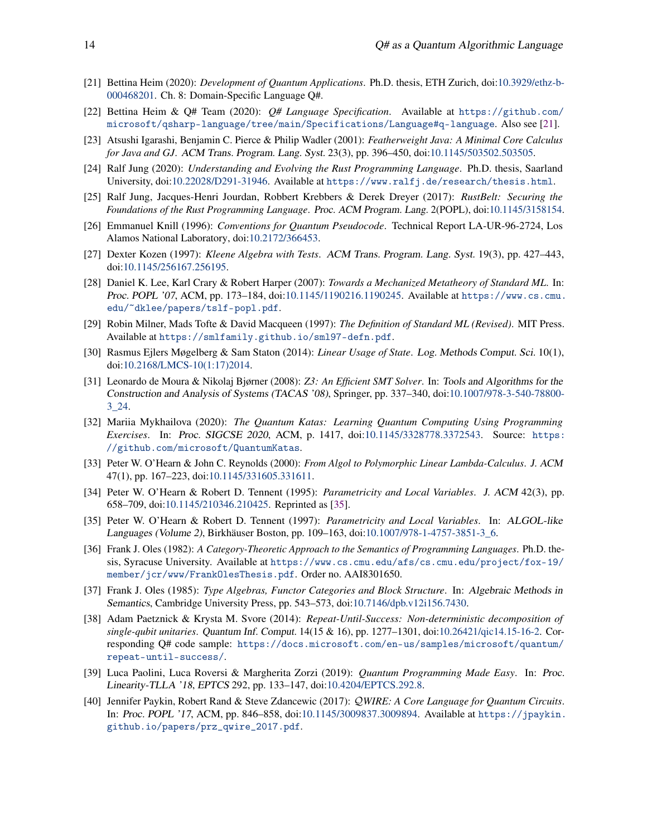- <span id="page-13-0"></span>[21] Bettina Heim (2020): *Development of Quantum Applications*. Ph.D. thesis, ETH Zurich, doi[:10.3929/ethz-b-](http://dx.doi.org/10.3929/ethz-b-000468201)[000468201.](http://dx.doi.org/10.3929/ethz-b-000468201) Ch. 8: Domain-Specific Language Q#.
- <span id="page-13-2"></span>[22] Bettina Heim & Q# Team (2020): *Q# Language Specification*. Available at [https://github.com/](https://github.com/microsoft/qsharp-language/tree/main/Specifications/Language#q-language) [microsoft/qsharp-language/tree/main/Specifications/Language#q-language](https://github.com/microsoft/qsharp-language/tree/main/Specifications/Language#q-language). Also see [\[21\]](#page-13-0).
- <span id="page-13-8"></span>[23] Atsushi Igarashi, Benjamin C. Pierce & Philip Wadler (2001): *Featherweight Java: A Minimal Core Calculus for Java and GJ*. ACM Trans. Program. Lang. Syst. 23(3), pp. 396–450, doi[:10.1145/503502.503505.](http://dx.doi.org/10.1145/503502.503505)
- <span id="page-13-9"></span>[24] Ralf Jung (2020): *Understanding and Evolving the Rust Programming Language*. Ph.D. thesis, Saarland University, doi[:10.22028/D291-31946.](http://dx.doi.org/10.22028/D291-31946) Available at <https://www.ralfj.de/research/thesis.html>.
- <span id="page-13-10"></span>[25] Ralf Jung, Jacques-Henri Jourdan, Robbert Krebbers & Derek Dreyer (2017): *RustBelt: Securing the Foundations of the Rust Programming Language*. Proc. ACM Program. Lang. 2(POPL), doi[:10.1145/3158154.](http://dx.doi.org/10.1145/3158154)
- <span id="page-13-1"></span>[26] Emmanuel Knill (1996): *Conventions for Quantum Pseudocode*. Technical Report LA-UR-96-2724, Los Alamos National Laboratory, doi[:10.2172/366453.](http://dx.doi.org/10.2172/366453)
- <span id="page-13-12"></span>[27] Dexter Kozen (1997): *Kleene Algebra with Tests*. ACM Trans. Program. Lang. Syst. 19(3), pp. 427–443, doi[:10.1145/256167.256195.](http://dx.doi.org/10.1145/256167.256195)
- <span id="page-13-3"></span>[28] Daniel K. Lee, Karl Crary & Robert Harper (2007): *Towards a Mechanized Metatheory of Standard ML*. In: Proc. POPL '07, ACM, pp. 173–184, doi[:10.1145/1190216.1190245.](http://dx.doi.org/10.1145/1190216.1190245) Available at [https://www.cs.cmu.](https://www.cs.cmu.edu/~dklee/papers/tslf-popl.pdf) [edu/~dklee/papers/tslf-popl.pdf](https://www.cs.cmu.edu/~dklee/papers/tslf-popl.pdf).
- <span id="page-13-11"></span>[29] Robin Milner, Mads Tofte & David Macqueen (1997): *The Definition of Standard ML (Revised)*. MIT Press. Available at <https://smlfamily.github.io/sml97-defn.pdf>.
- <span id="page-13-14"></span>[30] Rasmus Ejlers Møgelberg & Sam Staton (2014): *Linear Usage of State*. Log. Methods Comput. Sci. 10(1), doi[:10.2168/LMCS-10\(1:17\)2014.](http://dx.doi.org/10.2168/LMCS-10(1:17)2014)
- <span id="page-13-17"></span>[31] Leonardo de Moura & Nikolaj Bjørner (2008): *Z3: An Efficient SMT Solver*. In: Tools and Algorithms for the Construction and Analysis of Systems (TACAS '08), Springer, pp. 337–340, doi[:10.1007/978-3-540-78800-](http://dx.doi.org/10.1007/978-3-540-78800-3_24) [3\\_24.](http://dx.doi.org/10.1007/978-3-540-78800-3_24)
- <span id="page-13-19"></span>[32] Mariia Mykhailova (2020): *The Quantum Katas: Learning Quantum Computing Using Programming Exercises*. In: Proc. SIGCSE 2020, ACM, p. 1417, doi[:10.1145/3328778.3372543.](http://dx.doi.org/10.1145/3328778.3372543) Source: [https:](https://github.com/microsoft/QuantumKatas) [//github.com/microsoft/QuantumKatas](https://github.com/microsoft/QuantumKatas).
- <span id="page-13-6"></span>[33] Peter W. O'Hearn & John C. Reynolds (2000): *From Algol to Polymorphic Linear Lambda-Calculus*. J. ACM 47(1), pp. 167–223, doi[:10.1145/331605.331611.](http://dx.doi.org/10.1145/331605.331611)
- <span id="page-13-7"></span>[34] Peter W. O'Hearn & Robert D. Tennent (1995): *Parametricity and Local Variables*. J. ACM 42(3), pp. 658–709, doi[:10.1145/210346.210425.](http://dx.doi.org/10.1145/210346.210425) Reprinted as [\[35\]](#page-13-18).
- <span id="page-13-18"></span>[35] Peter W. O'Hearn & Robert D. Tennent (1997): *Parametricity and Local Variables*. In: ALGOL-like Languages (Volume 2), Birkhäuser Boston, pp. 109–163, doi[:10.1007/978-1-4757-3851-3\\_6.](http://dx.doi.org/10.1007/978-1-4757-3851-3_6)
- <span id="page-13-4"></span>[36] Frank J. Oles (1982): *A Category-Theoretic Approach to the Semantics of Programming Languages*. Ph.D. thesis, Syracuse University. Available at [https://www.cs.cmu.edu/afs/cs.cmu.edu/project/fox-19/](https://www.cs.cmu.edu/afs/cs.cmu.edu/project/fox-19/member/jcr/www/FrankOlesThesis.pdf) [member/jcr/www/FrankOlesThesis.pdf](https://www.cs.cmu.edu/afs/cs.cmu.edu/project/fox-19/member/jcr/www/FrankOlesThesis.pdf). Order no. AAI8301650.
- <span id="page-13-5"></span>[37] Frank J. Oles (1985): *Type Algebras, Functor Categories and Block Structure*. In: Algebraic Methods in Semantics, Cambridge University Press, pp. 543–573, doi[:10.7146/dpb.v12i156.7430.](http://dx.doi.org/10.7146/dpb.v12i156.7430)
- <span id="page-13-16"></span>[38] Adam Paetznick & Krysta M. Svore (2014): *Repeat-Until-Success: Non-deterministic decomposition of single-qubit unitaries*. Quantum Inf. Comput. 14(15 & 16), pp. 1277–1301, doi[:10.26421/qic14.15-16-2.](http://dx.doi.org/10.26421/qic14.15-16-2) Corresponding Q# code sample: [https://docs.microsoft.com/en-us/samples/microsoft/quantum/](https://docs.microsoft.com/en-us/samples/microsoft/quantum/repeat-until-success/) [repeat-until-success/](https://docs.microsoft.com/en-us/samples/microsoft/quantum/repeat-until-success/).
- <span id="page-13-15"></span>[39] Luca Paolini, Luca Roversi & Margherita Zorzi (2019): *Quantum Programming Made Easy*. In: Proc. Linearity-TLLA '18, EPTCS 292, pp. 133–147, doi[:10.4204/EPTCS.292.8.](http://dx.doi.org/10.4204/EPTCS.292.8)
- <span id="page-13-13"></span>[40] Jennifer Paykin, Robert Rand & Steve Zdancewic (2017): Q*WIRE: A Core Language for Quantum Circuits*. In: Proc. POPL '17, ACM, pp. 846–858, doi[:10.1145/3009837.3009894.](http://dx.doi.org/10.1145/3009837.3009894) Available at [https://jpaykin.](https://jpaykin.github.io/papers/prz_qwire_2017.pdf) [github.io/papers/prz\\_qwire\\_2017.pdf](https://jpaykin.github.io/papers/prz_qwire_2017.pdf).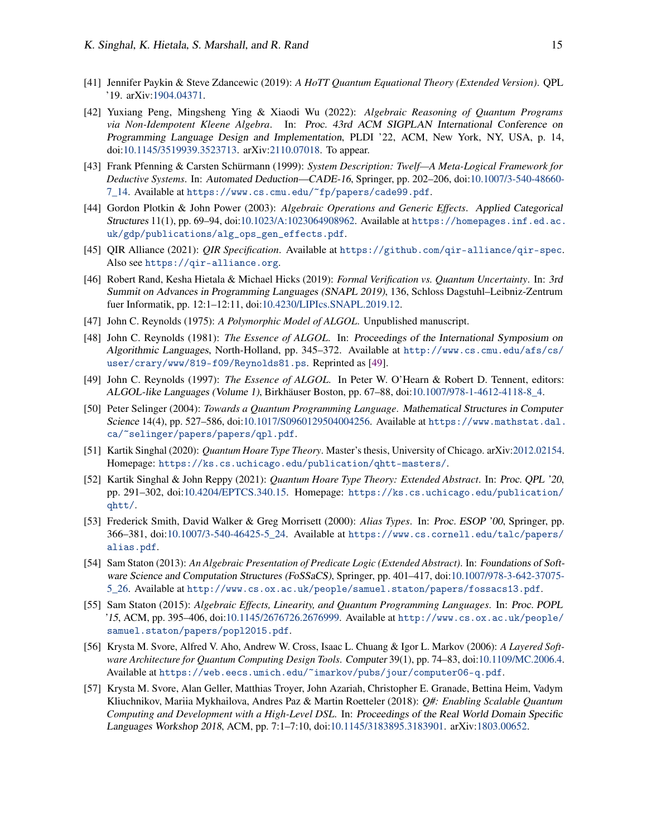- <span id="page-14-11"></span>[41] Jennifer Paykin & Steve Zdancewic (2019): *A HoTT Quantum Equational Theory (Extended Version)*. QPL '19. arXiv[:1904.04371.](https://arxiv.org/abs/1904.04371)
- <span id="page-14-12"></span>[42] Yuxiang Peng, Mingsheng Ying & Xiaodi Wu (2022): *Algebraic Reasoning of Quantum Programs via Non-Idempotent Kleene Algebra*. In: Proc. 43rd ACM SIGPLAN International Conference on Programming Language Design and Implementation, PLDI '22, ACM, New York, NY, USA, p. 14, doi[:10.1145/3519939.3523713.](http://dx.doi.org/10.1145/3519939.3523713) arXiv[:2110.07018.](https://arxiv.org/abs/2110.07018) To appear.
- <span id="page-14-8"></span>[43] Frank Pfenning & Carsten Schürmann (1999): *System Description: Twelf—A Meta-Logical Framework for Deductive Systems*. In: Automated Deduction—CADE-16, Springer, pp. 202–206, doi[:10.1007/3-540-48660-](http://dx.doi.org/10.1007/3-540-48660-7_14) [7\\_14.](http://dx.doi.org/10.1007/3-540-48660-7_14) Available at <https://www.cs.cmu.edu/~fp/papers/cade99.pdf>.
- <span id="page-14-4"></span>[44] Gordon Plotkin & John Power (2003): *Algebraic Operations and Generic Effects*. Applied Categorical Structures 11(1), pp. 69–94, doi[:10.1023/A:1023064908962.](http://dx.doi.org/10.1023/A:1023064908962) Available at [https://homepages.inf.ed.ac.](https://homepages.inf.ed.ac.uk/gdp/publications/alg_ops_gen_effects.pdf) [uk/gdp/publications/alg\\_ops\\_gen\\_effects.pdf](https://homepages.inf.ed.ac.uk/gdp/publications/alg_ops_gen_effects.pdf).
- <span id="page-14-14"></span>[45] QIR Alliance (2021): *QIR Specification*. Available at <https://github.com/qir-alliance/qir-spec>. Also see <https://qir-alliance.org>.
- <span id="page-14-15"></span>[46] Robert Rand, Kesha Hietala & Michael Hicks (2019): *Formal Verification vs. Quantum Uncertainty*. In: 3rd Summit on Advances in Programming Languages (SNAPL 2019), 136, Schloss Dagstuhl–Leibniz-Zentrum fuer Informatik, pp. 12:1–12:11, doi[:10.4230/LIPIcs.SNAPL.2019.12.](http://dx.doi.org/10.4230/LIPIcs.SNAPL.2019.12)
- <span id="page-14-10"></span>[47] John C. Reynolds (1975): *A Polymorphic Model of ALGOL*. Unpublished manuscript.
- <span id="page-14-1"></span>[48] John C. Reynolds (1981): *The Essence of ALGOL*. In: Proceedings of the International Symposium on Algorithmic Languages, North-Holland, pp. 345–372. Available at [http://www.cs.cmu.edu/afs/cs/](http://www.cs.cmu.edu/afs/cs/user/crary/www/819-f09/Reynolds81.ps) [user/crary/www/819-f09/Reynolds81.ps](http://www.cs.cmu.edu/afs/cs/user/crary/www/819-f09/Reynolds81.ps). Reprinted as [\[49\]](#page-14-16).
- <span id="page-14-16"></span>[49] John C. Reynolds (1997): *The Essence of ALGOL*. In Peter W. O'Hearn & Robert D. Tennent, editors: ALGOL-like Languages (Volume 1), Birkhäuser Boston, pp. 67–88, doi[:10.1007/978-1-4612-4118-8\\_4.](http://dx.doi.org/10.1007/978-1-4612-4118-8_4)
- <span id="page-14-7"></span>[50] Peter Selinger (2004): *Towards a Quantum Programming Language*. Mathematical Structures in Computer Science 14(4), pp. 527–586, doi[:10.1017/S0960129504004256.](http://dx.doi.org/10.1017/S0960129504004256) Available at [https://www.mathstat.dal.](https://www.mathstat.dal.ca/~selinger/papers/papers/qpl.pdf) [ca/~selinger/papers/papers/qpl.pdf](https://www.mathstat.dal.ca/~selinger/papers/papers/qpl.pdf).
- <span id="page-14-5"></span>[51] Kartik Singhal (2020): *Quantum Hoare Type Theory*. Master's thesis, University of Chicago. arXiv[:2012.02154.](https://arxiv.org/abs/2012.02154) Homepage: <https://ks.cs.uchicago.edu/publication/qhtt-masters/>.
- <span id="page-14-6"></span>[52] Kartik Singhal & John Reppy (2021): *Quantum Hoare Type Theory: Extended Abstract*. In: Proc. QPL '20, pp. 291–302, doi[:10.4204/EPTCS.340.15.](http://dx.doi.org/10.4204/EPTCS.340.15) Homepage: [https://ks.cs.uchicago.edu/publication/](https://ks.cs.uchicago.edu/publication/qhtt/) [qhtt/](https://ks.cs.uchicago.edu/publication/qhtt/).
- <span id="page-14-9"></span>[53] Frederick Smith, David Walker & Greg Morrisett (2000): *Alias Types*. In: Proc. ESOP '00, Springer, pp. 366–381, doi[:10.1007/3-540-46425-5\\_24.](http://dx.doi.org/10.1007/3-540-46425-5_24) Available at [https://www.cs.cornell.edu/talc/papers/](https://www.cs.cornell.edu/talc/papers/alias.pdf) [alias.pdf](https://www.cs.cornell.edu/talc/papers/alias.pdf).
- <span id="page-14-3"></span>[54] Sam Staton (2013): *An Algebraic Presentation of Predicate Logic (Extended Abstract)*. In: Foundations of Soft-ware Science and Computation Structures (FoSSaCS), Springer, pp. 401–417, doi[:10.1007/978-3-642-37075-](http://dx.doi.org/10.1007/978-3-642-37075-5_26) [5\\_26.](http://dx.doi.org/10.1007/978-3-642-37075-5_26) Available at <http://www.cs.ox.ac.uk/people/samuel.staton/papers/fossacs13.pdf>.
- <span id="page-14-2"></span>[55] Sam Staton (2015): *Algebraic Effects, Linearity, and Quantum Programming Languages*. In: Proc. POPL '15, ACM, pp. 395–406, doi[:10.1145/2676726.2676999.](http://dx.doi.org/10.1145/2676726.2676999) Available at [http://www.cs.ox.ac.uk/people/](http://www.cs.ox.ac.uk/people/samuel.staton/papers/popl2015.pdf) [samuel.staton/papers/popl2015.pdf](http://www.cs.ox.ac.uk/people/samuel.staton/papers/popl2015.pdf).
- <span id="page-14-13"></span>[56] Krysta M. Svore, Alfred V. Aho, Andrew W. Cross, Isaac L. Chuang & Igor L. Markov (2006): *A Layered Software Architecture for Quantum Computing Design Tools*. Computer 39(1), pp. 74–83, doi[:10.1109/MC.2006.4.](http://dx.doi.org/10.1109/MC.2006.4) Available at <https://web.eecs.umich.edu/~imarkov/pubs/jour/computer06-q.pdf>.
- <span id="page-14-0"></span>[57] Krysta M. Svore, Alan Geller, Matthias Troyer, John Azariah, Christopher E. Granade, Bettina Heim, Vadym Kliuchnikov, Mariia Mykhailova, Andres Paz & Martin Roetteler (2018): *Q#: Enabling Scalable Quantum Computing and Development with a High-Level DSL*. In: Proceedings of the Real World Domain Specific Languages Workshop 2018, ACM, pp. 7:1–7:10, doi[:10.1145/3183895.3183901.](http://dx.doi.org/10.1145/3183895.3183901) arXiv[:1803.00652.](https://arxiv.org/abs/1803.00652)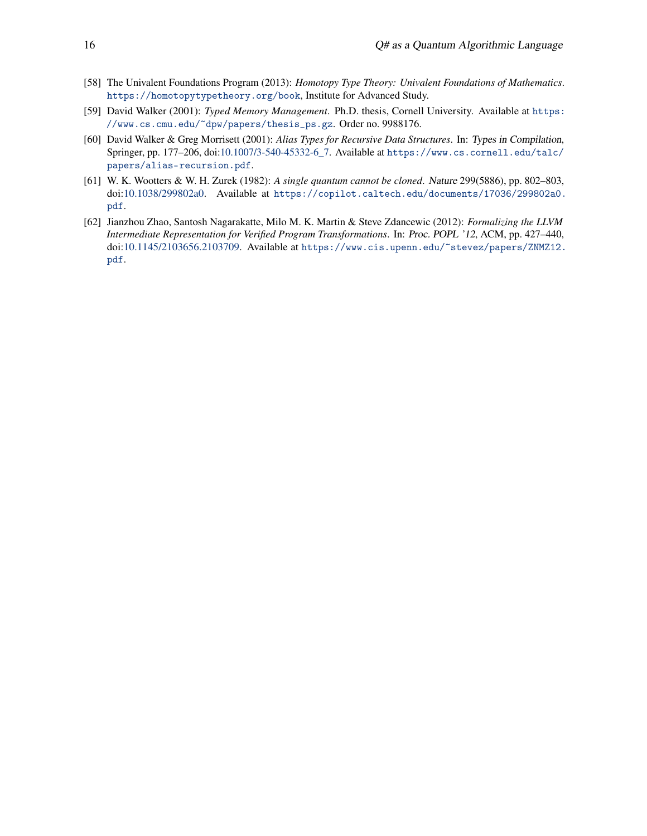- <span id="page-15-1"></span>[58] The Univalent Foundations Program (2013): *Homotopy Type Theory: Univalent Foundations of Mathematics*. <https://homotopytypetheory.org/book>, Institute for Advanced Study.
- <span id="page-15-3"></span>[59] David Walker (2001): *Typed Memory Management*. Ph.D. thesis, Cornell University. Available at [https:](https://www.cs.cmu.edu/~dpw/papers/thesis_ps.gz) [//www.cs.cmu.edu/~dpw/papers/thesis\\_ps.gz](https://www.cs.cmu.edu/~dpw/papers/thesis_ps.gz). Order no. 9988176.
- <span id="page-15-2"></span>[60] David Walker & Greg Morrisett (2001): *Alias Types for Recursive Data Structures*. In: Types in Compilation, Springer, pp. 177–206, doi[:10.1007/3-540-45332-6\\_7.](http://dx.doi.org/10.1007/3-540-45332-6_7) Available at [https://www.cs.cornell.edu/talc/](https://www.cs.cornell.edu/talc/papers/alias-recursion.pdf) [papers/alias-recursion.pdf](https://www.cs.cornell.edu/talc/papers/alias-recursion.pdf).
- <span id="page-15-0"></span>[61] W. K. Wootters & W. H. Zurek (1982): *A single quantum cannot be cloned*. Nature 299(5886), pp. 802–803, doi[:10.1038/299802a0.](http://dx.doi.org/10.1038/299802a0) Available at [https://copilot.caltech.edu/documents/17036/299802a0.](https://copilot.caltech.edu/documents/17036/299802a0.pdf) [pdf](https://copilot.caltech.edu/documents/17036/299802a0.pdf).
- <span id="page-15-4"></span>[62] Jianzhou Zhao, Santosh Nagarakatte, Milo M. K. Martin & Steve Zdancewic (2012): *Formalizing the LLVM Intermediate Representation for Verified Program Transformations*. In: Proc. POPL '12, ACM, pp. 427–440, doi[:10.1145/2103656.2103709.](http://dx.doi.org/10.1145/2103656.2103709) Available at [https://www.cis.upenn.edu/~stevez/papers/ZNMZ12.](https://www.cis.upenn.edu/~stevez/papers/ZNMZ12.pdf) [pdf](https://www.cis.upenn.edu/~stevez/papers/ZNMZ12.pdf).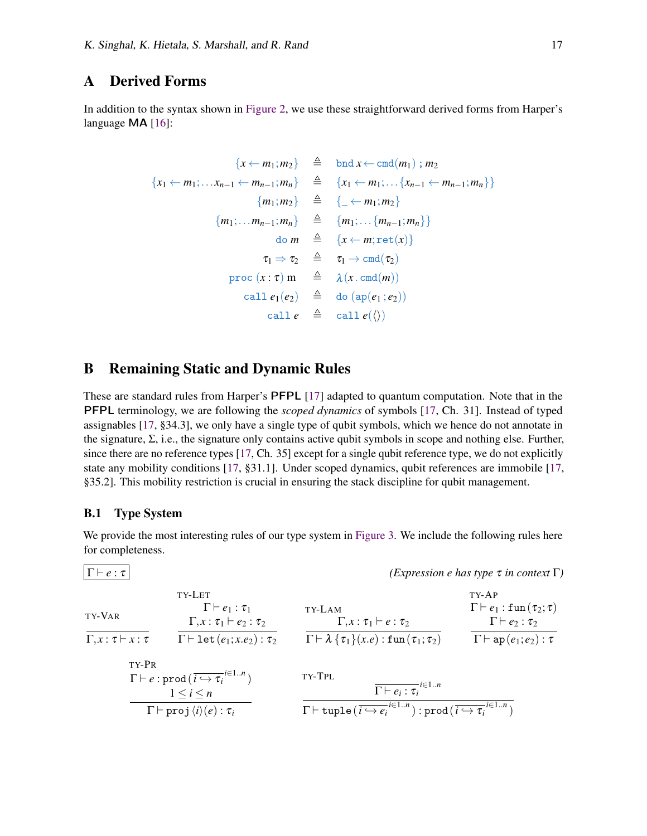### <span id="page-16-0"></span>A Derived Forms

In addition to the syntax shown in [Figure 2,](#page-5-0) we use these straightforward derived forms from Harper's language **MA** [\[16\]](#page-12-0):

$$
\{x \leftarrow m_1; m_2\} \triangleq \text{bnd } x \leftarrow \text{cmd}(m_1) ; m_2
$$
\n
$$
\{x_1 \leftarrow m_1; \dots x_{n-1} \leftarrow m_{n-1}; m_n\} \triangleq \{x_1 \leftarrow m_1; \dots \{x_{n-1} \leftarrow m_{n-1}; m_n\} \}
$$
\n
$$
\{m_1; m_2\} \triangleq \{ \dots \leftarrow m_1; m_2\}
$$
\n
$$
\{m_1; \dots m_{n-1}; m_n\} \triangleq \{m_1; \dots \{m_{n-1}; m_n\} \}
$$
\n
$$
\text{do } m \triangleq \{x \leftarrow m; \text{ret}(x)\}
$$
\n
$$
\tau_1 \Rightarrow \tau_2 \triangleq \tau_1 \rightarrow \text{cmd}(\tau_2)
$$
\n
$$
\text{proc } (x : \tau) \text{ m} \triangleq \lambda (x \cdot \text{cmd}(m))
$$
\n
$$
\text{call } e_1(e_2) \triangleq \text{do } (\text{ap}(e_1; e_2))
$$
\n
$$
\text{call } e(\langle \rangle)
$$

## B Remaining Static and Dynamic Rules

These are standard rules from Harper's PFPL [\[17\]](#page-12-8) adapted to quantum computation. Note that in the PFPL terminology, we are following the *scoped dynamics* of symbols [\[17,](#page-12-8) Ch. 31]. Instead of typed assignables [\[17,](#page-12-8) §34.3], we only have a single type of qubit symbols, which we hence do not annotate in the signature,  $\Sigma$ , i.e., the signature only contains active qubit symbols in scope and nothing else. Further, since there are no reference types [\[17,](#page-12-8) Ch. 35] except for a single qubit reference type, we do not explicitly state any mobility conditions [\[17,](#page-12-8) §31.1]. Under scoped dynamics, qubit references are immobile [\[17,](#page-12-8) §35.2]. This mobility restriction is crucial in ensuring the stack discipline for qubit management.

### <span id="page-16-1"></span>B.1 Type System

We provide the most interesting rules of our type system in [Figure 3.](#page-6-1) We include the following rules here for completeness.

Γ ⊢ *e* : τ *(Expression e has type* τ *in context* Γ*)* TY-VAR Γ, *x* : τ ⊢ *x* : τ TY-LET Γ ⊢ *e*<sup>1</sup> : τ<sup>1</sup> Γ, *x* : τ<sup>1</sup> ⊢ *e*<sup>2</sup> : τ<sup>2</sup> Γ ⊢ let(*e*1; *x*.*e*2) : τ<sup>2</sup> TY-LAM Γ, *x* : τ<sup>1</sup> ⊢ *e* : τ<sup>2</sup> Γ ⊢ λ {τ1}(*x*.*e*) : fun(τ1; τ2) TY-AP Γ ⊢ *e*<sup>1</sup> : fun(τ2; τ) Γ ⊢ *e*<sup>2</sup> : τ<sup>2</sup> Γ ⊢ ap(*e*1; *e*2) : τ TY-PR Γ ⊢ *e* : prod(*i* ,→ τ*<sup>i</sup> i*∈1..*n* ) 1 ≤ *i* ≤ *n* Γ ⊢ proj⟨*i*⟩(*e*) : τ*<sup>i</sup>* TY-TPL Γ ⊢ *e<sup>i</sup>* : τ*<sup>i</sup> i*∈1..*n* Γ ⊢ tuple(*i* ,→ *e<sup>i</sup> i*∈1..*n* ) : prod(*i* ,→ τ*<sup>i</sup> i*∈1..*n* )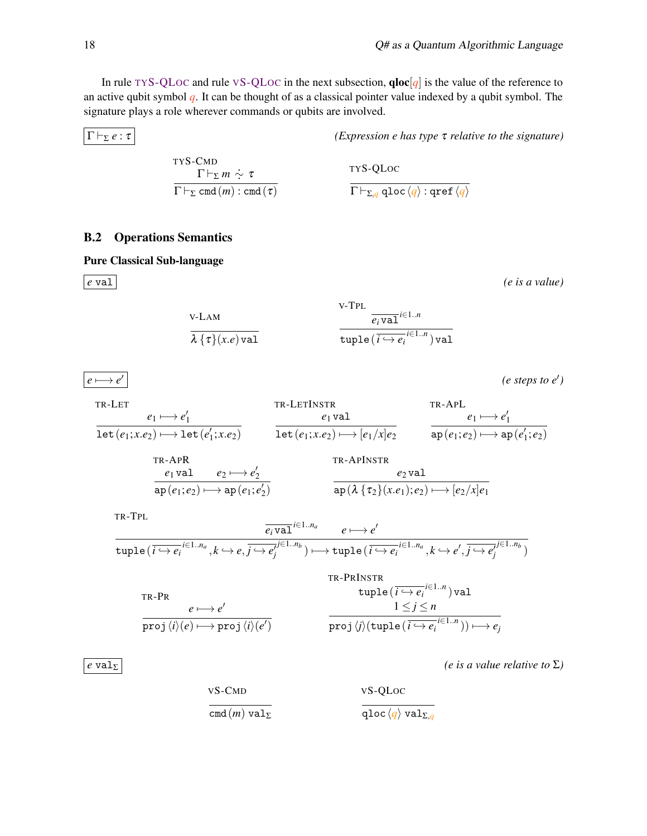In rule TY[S-QL](#page-17-2)OC and rule VS-QLOC in the next subsection,  $qloc[q]$  is the value of the reference to an active qubit symbol *q*. It can be thought of as a classical pointer value indexed by a qubit symbol. The signature plays a role wherever commands or qubits are involved.

 $|\Gamma \vdash_{\Sigma} e : \tau|$  *(Expression e has type*  $\tau$  *relative to the signature)* 

$$
\frac{\text{TYS-CMD}}{\Gamma\vdash_{\Sigma} m \stackrel{\star}{\sim} \tau} \frac{\text{TYS-QLoc}}{\Gamma\vdash_{\Sigma, q} \text{qloc} \langle q \rangle : \text{qref} \langle q \rangle}
$$

#### <span id="page-17-0"></span>B.2 Operations Semantics

Pure Classical Sub-language

 $e \longmapsto e'$ 

*e* val *(e is a value)*

V-LAM  

$$
\frac{\lambda \{ \tau \}(x.e) \text{val}}
$$

<span id="page-17-1"></span>v-TPL  
\n
$$
\frac{\overline{e_i \text{val}}^{i \in 1..n}}{\text{tuple}(\overline{i \leftrightarrow e_i}^{i \in 1..n}) \text{val}}
$$

*(e steps to e*′ *)*

$$
\begin{array}{ll}\n\text{TR-LET} & \text{TR-LETINSTR} & \text{TR-APL} \\
\hline\n\text{let}(e_1; x.e_2) \longmapsto \text{let}(e'_1; x.e_2) & \text{let}(e_1; x.e_2) \longmapsto \text{let}(e_1; x.e_2) \longmapsto \text{let}(e_1; x.e_2) \longmapsto \text{let}(e_1; x.e_2) \longmapsto \text{let}(e_1; x.e_2) \longmapsto \text{let}(e_1; x.e_2) \longmapsto \text{let}(e_1; e_2) \longmapsto \text{let}(e_1; e_2) \longmapsto \text{let}(e_1; e_2) \longmapsto \text{let}(e_1; e_2) \longmapsto \text{let}(e_1; e_2) \longmapsto \text{let}(e_1; e_2) \longmapsto \text{let}(e_1; e_2) \longmapsto \text{let}(e_1; e_2) \longmapsto \text{let}(e_1; e_2) \longmapsto \text{let}(e_1; e_2) \longmapsto \text{let}(e_1; e_2) \longmapsto \text{let}(e_1; e_2) \longmapsto \text{let}(e_1; e_2) \longmapsto \text{let}(e_1; e_2) \longmapsto \text{let}(e_1; e_2) \longmapsto \text{let}(e_1; e_2) \longmapsto \text{let}(e_1; e_2) \longmapsto \text{let}(e_1; e_2) \longmapsto \text{let}(e_1; e_2) \longmapsto \text{let}(e_1; e_2) \longmapsto \text{let}(e_1; e_2) \longmapsto \text{let}(e_1; e_2) \longmapsto \text{let}(e_1; e_2) \longmapsto \text{let}(e_1; e_2) \longmapsto \text{let}(e_1; e_2) \longmapsto \text{let}(e_1; e_2) \longmapsto \text{let}(e_1; e_2) \longmapsto \text{let}(e_1; e_2) \longmapsto \text{let}(e_1; e_2) \longmapsto \text{let}(e_1; e_2) \longmapsto \text{let}(e_1; e_2) \longmapsto \text{let}(e_1; e_2) \longmapsto \text{let}(e_1; e_2) \longmapsto \text{let}(e_1; e_2)
$$

TR-TPL

$$
\frac{\overline{e_i \text{val}}^{i \in 1..n_a} \qquad e \longmapsto e'}{\text{tuple}(\overline{i \hookrightarrow e_i}^{i \in 1..n_a}, k \hookrightarrow e, \overline{j \hookrightarrow e_j}^{j \in 1..n_b}) \longmapsto \text{tuple}(\overline{i \hookrightarrow e_i}^{i \in 1..n_a}, k \hookrightarrow e', \overline{j \hookrightarrow e_j}^{j \in 1..n_b})}
$$

$$
\text{tr. P R} \quad \text{tuple } (\overline{i \leftrightarrow e_i}^{i \in 1..n}) \text{ val}
$$
\n
$$
\text{tr. P R} \quad \text{tuple } (\overline{i \leftrightarrow e_i}^{i \in 1..n}) \text{ val}
$$
\n
$$
\text{proj } \langle i \rangle (e) \longmapsto \text{proj } \langle i \rangle (e')
$$
\n
$$
\text{proj } \langle j \rangle (\text{tuple } (\overline{i \leftrightarrow e_i}^{i \in 1..n})) \longmapsto e_j
$$

TR-PRINSTR

<span id="page-17-2"></span>*(e is a value relative to*  $\Sigma$ *)* 

\n
$$
\text{vS-CMD}
$$
\n $\text{vS-QLoc}$ \n $\text{cmd}(m) \, \text{val}_{\Sigma}$ \n $\text{qloc} \, \langle q \rangle \, \text{val}_{\Sigma, q}$ \n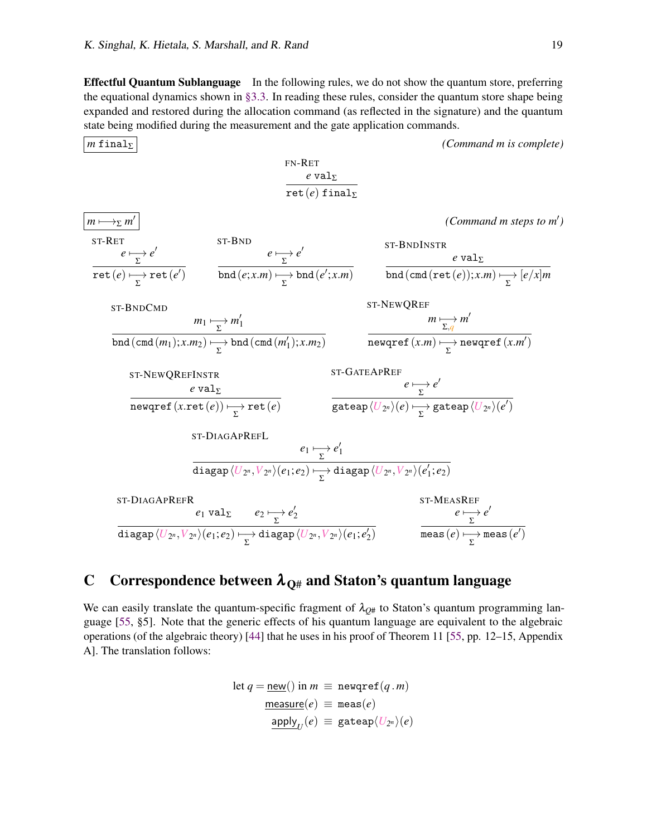$\overline{\phantom{a}}$ 

Effectful Quantum Sublanguage In the following rules, we do not show the quantum store, preferring the equational dynamics shown in [§3.3.](#page-7-0) In reading these rules, consider the quantum store shape being expanded and restored during the allocation command (as reflected in the signature) and the quantum state being modified during the measurement and the gate application commands.

*m* finalΣ *(Command m is complete)* 

| $m \rightarrow p$                   | $PN-RET$                            | $e$ val <sub><math>p</math></sub>        | $(Common and m steps to m')$ |     |          |
|-------------------------------------|-------------------------------------|------------------------------------------|------------------------------|-----|----------|
| $m \rightarrow p$                   | $ST-RET$                            | $evalp$                                  | $0$                          | $0$ | $ST-RET$ |
| $m \rightarrow p$                   | $ST-RST$                            | $ST-BND$                                 | $ST-BNDINSTR$                |     |          |
| $ret(e) \rightarrow \text{ret}(e')$ | $md(e;x.m) \rightarrow bnd(e';x.m)$ | $md(cmd(ret(e));x.m) \rightarrow [e/x]m$ |                              |     |          |
| $ST-BNDCMD$                         | $ST-BNDINSTR$                       | $evalp$                                  |                              |     |          |
| $ST-BNDCMD$                         | $ST-BNDRCEF$                        | $ST-BNDRCEF$                             |                              |     |          |
| $ST-BNDCMD$                         | $ST-BNDRCEF$                        | $0$                                      | $0$                          |     |          |
| $ST-BNDCMD$                         | $ST-BNDRCEF$                        | $ST-BNDRCEF$                             |                              |     |          |
| $ST-BNDCMD$                         | $ST-BNDRCEF$                        | $0$                                      | $0$                          |     |          |
| $ST-BNDCMD$                         | $ST-BNDC$                           | $ST-BNDC$                                | $ST-BNDC$                    |     |          |
| $ST-BNDC$                           | $ST-BNDC$                           | $ST-BNDC$                                | $ST-BNDC$                    |     |          |
| $ST-BNDC$                           | $ST-BNDC$                           | $ST-BNDC$                                | $ST$                         |     |          |

## <span id="page-18-0"></span>C Correspondence between  $\lambda_{\text{O#}}$  and Staton's quantum language

We can easily translate the quantum-specific fragment of  $\lambda_{Q#}$  to Staton's quantum programming language [\[55,](#page-14-2) §5]. Note that the generic effects of his quantum language are equivalent to the algebraic operations (of the algebraic theory) [\[44\]](#page-14-4) that he uses in his proof of Theorem 11 [\[55,](#page-14-2) pp. 12–15, Appendix A]. The translation follows:

$$
\begin{aligned} \text{let } q &= \underline{\mathsf{new}}() \text{ in } m \equiv \underline{\mathsf{newqref}}(q.m) \\ &\underline{\mathsf{measure}}(e) \equiv \underline{\mathsf{meas}}(e) \\ &\underline{\mathsf{apply}}_U(e) \equiv \underline{\mathsf{gateap}}\langle U_{2^n}\rangle(e) \end{aligned}
$$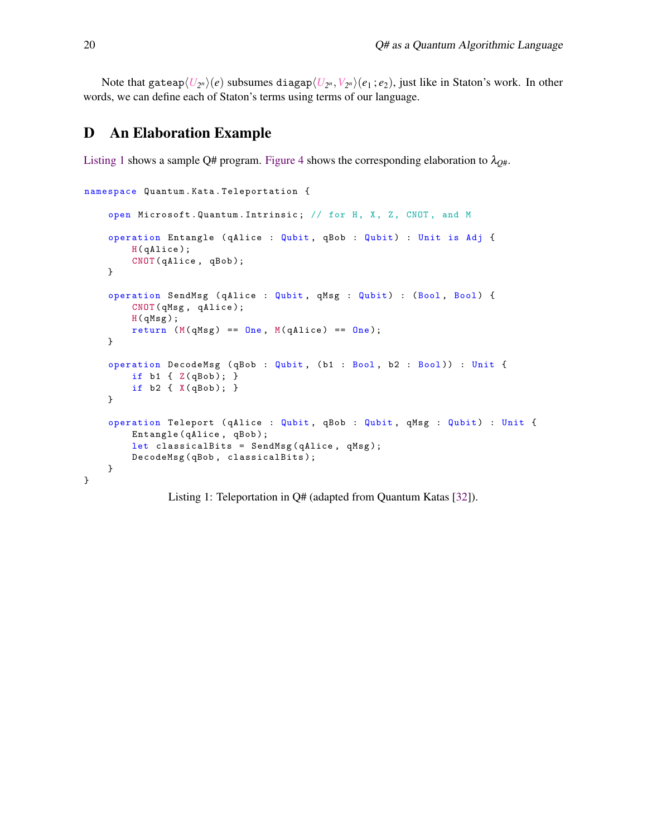Note that gateap $\langle U_{2^n}\rangle(e)$  subsumes diagap $\langle U_{2^n},V_{2^n}\rangle(e_1\,;e_2),$  just like in Staton's work. In other words, we can define each of Staton's terms using terms of our language.

## <span id="page-19-1"></span>D An Elaboration Example

[Listing 1](#page-19-0) shows a sample Q# program. [Figure 4](#page-20-0) shows the corresponding elaboration to  $\lambda_{Q\#}$ .

```
namespace Quantum . Kata . Teleportation {
    open Microsoft . Quantum . Intrinsic ; // for H, X, Z, CNOT , and M
    operation Entangle (qAlice : Qubit, qBob : Qubit) : Unit is Adj {
        H(qAlice);
        CNOT ( qAlice , qBob );
    }
    operation SendMsg ( qAlice : Qubit , qMsg : Qubit ) : (Bool , Bool ) {
        CNOT (qMsg, qAlice);
        H( qMsg );
        return (M(qMsg) == 0ne, M(qAlice) == 0ne);}
    operation DecodeMsg ( qBob : Qubit , ( b1 : Bool , b2 : Bool )) : Unit {
        if b1 { Z( qBob ); }
        if b2 { X( qBob ); }
    }
    operation Teleport ( qAlice : Qubit , qBob : Qubit , qMsg : Qubit ) : Unit {
        Entangle (qAlice, qBob);
        let classicalBits = SendMsg(qAlice, qMsg);
        DecodeMsg ( qBob , classicalBits );
    }
}
```
Listing 1: Teleportation in Q# (adapted from Quantum Katas [\[32\]](#page-13-19)).